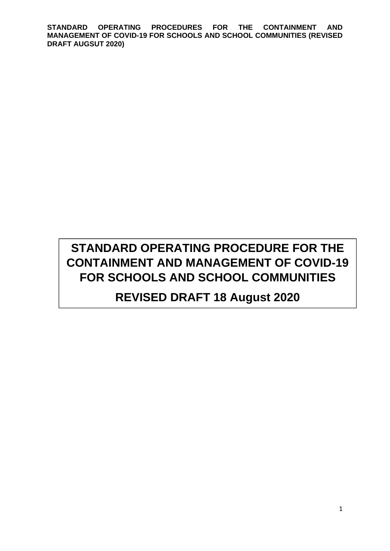# **STANDARD OPERATING PROCEDURE FOR THE CONTAINMENT AND MANAGEMENT OF COVID-19 FOR SCHOOLS AND SCHOOL COMMUNITIES REVISED DRAFT 18 August 2020**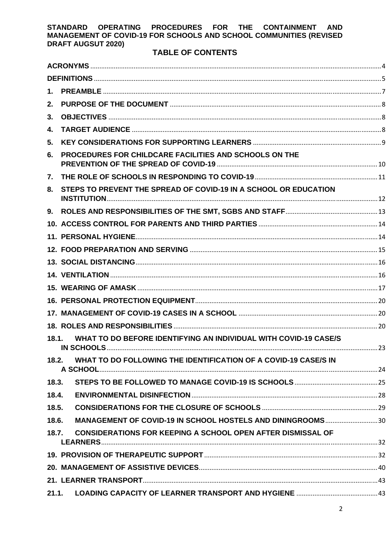### **TABLE OF CONTENTS**

| 1.    |                                                                    |  |
|-------|--------------------------------------------------------------------|--|
| 2.    |                                                                    |  |
| 3.    |                                                                    |  |
| 4.    |                                                                    |  |
| 5.    |                                                                    |  |
| 6.    | PROCEDURES FOR CHILDCARE FACILITIES AND SCHOOLS ON THE             |  |
| 7.    |                                                                    |  |
| 8.    | STEPS TO PREVENT THE SPREAD OF COVID-19 IN A SCHOOL OR EDUCATION   |  |
| 9.    |                                                                    |  |
|       |                                                                    |  |
|       |                                                                    |  |
|       |                                                                    |  |
|       |                                                                    |  |
|       |                                                                    |  |
|       |                                                                    |  |
|       |                                                                    |  |
|       |                                                                    |  |
|       |                                                                    |  |
| 18.1. | WHAT TO DO BEFORE IDENTIFYING AN INDIVIDUAL WITH COVID-19 CASE/S   |  |
| 18.2. | WHAT TO DO FOLLOWING THE IDENTIFICATION OF A COVID-19 CASE/S IN    |  |
| 18.3. |                                                                    |  |
| 18.4. |                                                                    |  |
| 18.5. |                                                                    |  |
| 18.6. | MANAGEMENT OF COVID-19 IN SCHOOL HOSTELS AND DININGROOMS30         |  |
| 18.7. | <b>CONSIDERATIONS FOR KEEPING A SCHOOL OPEN AFTER DISMISSAL OF</b> |  |
|       |                                                                    |  |
|       |                                                                    |  |
|       |                                                                    |  |
|       |                                                                    |  |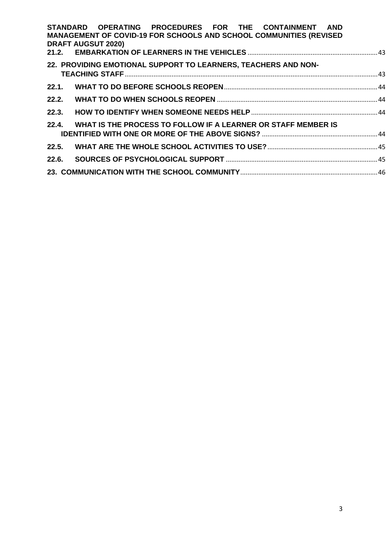| STANDARD OPERATING PROCEDURES FOR THE CONTAINMENT AND                     |  |
|---------------------------------------------------------------------------|--|
| <b>MANAGEMENT OF COVID-19 FOR SCHOOLS AND SCHOOL COMMUNITIES (REVISED</b> |  |
| <b>DRAFT AUGSUT 2020)</b>                                                 |  |
|                                                                           |  |
| 22. PROVIDING EMOTIONAL SUPPORT TO LEARNERS, TEACHERS AND NON-            |  |
|                                                                           |  |
|                                                                           |  |
| 22.2.                                                                     |  |
| 22.3.                                                                     |  |
| 22.4.<br>WHAT IS THE PROCESS TO FOLLOW IF A LEARNER OR STAFF MEMBER IS    |  |
|                                                                           |  |
| 22.5.                                                                     |  |
| 22.6.                                                                     |  |
|                                                                           |  |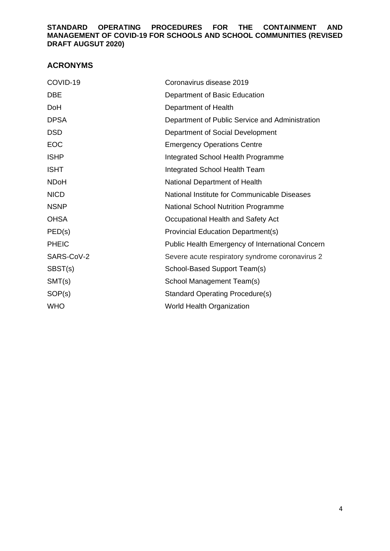### **ACRONYMS**

| COVID-19     | Coronavirus disease 2019                         |
|--------------|--------------------------------------------------|
| <b>DBE</b>   | Department of Basic Education                    |
| DoH          | Department of Health                             |
| <b>DPSA</b>  | Department of Public Service and Administration  |
| <b>DSD</b>   | Department of Social Development                 |
| EOC          | <b>Emergency Operations Centre</b>               |
| <b>ISHP</b>  | Integrated School Health Programme               |
| <b>ISHT</b>  | Integrated School Health Team                    |
| <b>NDoH</b>  | National Department of Health                    |
| <b>NICD</b>  | National Institute for Communicable Diseases     |
| <b>NSNP</b>  | <b>National School Nutrition Programme</b>       |
| <b>OHSA</b>  | Occupational Health and Safety Act               |
| PED(s)       | <b>Provincial Education Department(s)</b>        |
| <b>PHEIC</b> | Public Health Emergency of International Concern |
| SARS-CoV-2   | Severe acute respiratory syndrome coronavirus 2  |
| SBST(s)      | School-Based Support Team(s)                     |
| SMT(s)       | School Management Team(s)                        |
| SOP(s)       | <b>Standard Operating Procedure(s)</b>           |
| <b>WHO</b>   | <b>World Health Organization</b>                 |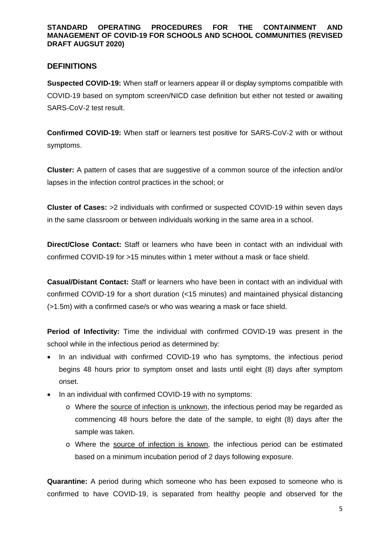### **DEFINITIONS**

**Suspected COVID-19:** When staff or learners appear ill or display symptoms compatible with COVID-19 based on symptom screen/NICD case definition but either not tested or awaiting SARS-CoV-2 test result.

**Confirmed COVID-19:** When staff or learners test positive for SARS-CoV-2 with or without symptoms.

**Cluster:** A pattern of cases that are suggestive of a common source of the infection and/or lapses in the infection control practices in the school; or

**Cluster of Cases:** >2 individuals with confirmed or suspected COVID-19 within seven days in the same classroom or between individuals working in the same area in a school.

**Direct/Close Contact:** Staff or learners who have been in contact with an individual with confirmed COVID-19 for >15 minutes within 1 meter without a mask or face shield.

**Casual/Distant Contact:** Staff or learners who have been in contact with an individual with confirmed COVID-19 for a short duration (<15 minutes) and maintained physical distancing (>1.5m) with a confirmed case/s or who was wearing a mask or face shield.

**Period of Infectivity:** Time the individual with confirmed COVID-19 was present in the school while in the infectious period as determined by:

- In an individual with confirmed COVID-19 who has symptoms, the infectious period begins 48 hours prior to symptom onset and lasts until eight (8) days after symptom onset.
- In an individual with confirmed COVID-19 with no symptoms:
	- o Where the source of infection is unknown, the infectious period may be regarded as commencing 48 hours before the date of the sample, to eight (8) days after the sample was taken.
	- o Where the source of infection is known, the infectious period can be estimated based on a minimum incubation period of 2 days following exposure.

**Quarantine:** A period during which someone who has been exposed to someone who is confirmed to have COVID-19, is separated from healthy people and observed for the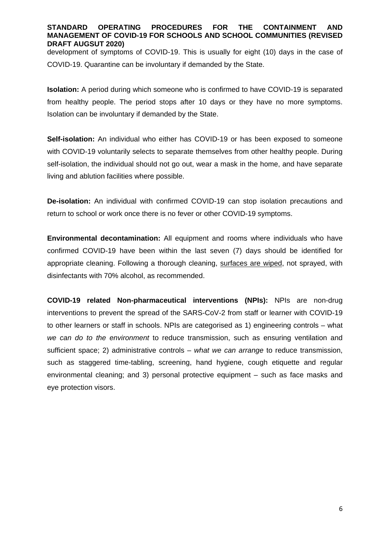development of symptoms of COVID-19. This is usually for eight (10) days in the case of COVID-19. Quarantine can be involuntary if demanded by the State.

**Isolation:** A period during which someone who is confirmed to have COVID-19 is separated from healthy people. The period stops after 10 days or they have no more symptoms. Isolation can be involuntary if demanded by the State.

**Self-isolation:** An individual who either has COVID-19 or has been exposed to someone with COVID-19 voluntarily selects to separate themselves from other healthy people. During self-isolation, the individual should not go out, wear a mask in the home, and have separate living and ablution facilities where possible.

**De-isolation:** An individual with confirmed COVID-19 can stop isolation precautions and return to school or work once there is no fever or other COVID-19 symptoms.

**Environmental decontamination:** All equipment and rooms where individuals who have confirmed COVID-19 have been within the last seven (7) days should be identified for appropriate cleaning. Following a thorough cleaning, surfaces are wiped, not sprayed, with disinfectants with 70% alcohol, as recommended.

**COVID-19 related Non-pharmaceutical interventions (NPIs):** NPIs are non-drug interventions to prevent the spread of the SARS-CoV-2 from staff or learner with COVID-19 to other learners or staff in schools. NPIs are categorised as 1) engineering controls – what *we can do to the environment* to reduce transmission, such as ensuring ventilation and sufficient space; 2) administrative controls – *what we can arrange* to reduce transmission, such as staggered time-tabling, screening, hand hygiene, cough etiquette and regular environmental cleaning; and 3) personal protective equipment – such as face masks and eye protection visors.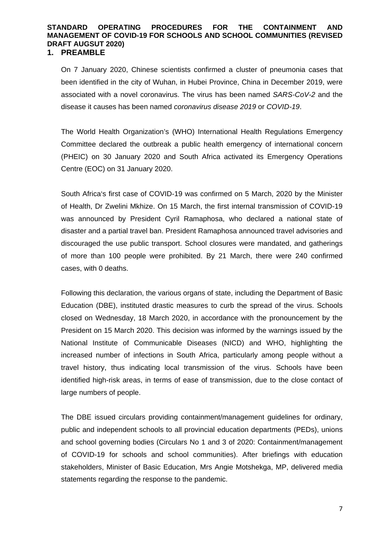#### **1. PREAMBLE**

On 7 January 2020, Chinese scientists confirmed a cluster of pneumonia cases that been identified in the city of Wuhan, in Hubei Province, China in December 2019, were associated with a novel coronavirus. The virus has been named *SARS-CoV-2* and the disease it causes has been named *coronavirus disease 2019* or *COVID-19*.

The World Health Organization's (WHO) International Health Regulations Emergency Committee declared the outbreak a public health emergency of international concern (PHEIC) on 30 January 2020 and South Africa activated its Emergency Operations Centre (EOC) on 31 January 2020.

South Africa's first case of COVID-19 was confirmed on 5 March, 2020 by the Minister of Health, Dr Zwelini Mkhize. On 15 March, the first internal transmission of COVID-19 was announced by President Cyril Ramaphosa, who declared a national state of disaster and a partial travel ban. President Ramaphosa announced travel advisories and discouraged the use public transport. School closures were mandated, and gatherings of more than 100 people were prohibited. By 21 March, there were 240 confirmed cases, with 0 deaths.

Following this declaration, the various organs of state, including the Department of Basic Education (DBE), instituted drastic measures to curb the spread of the virus. Schools closed on Wednesday, 18 March 2020, in accordance with the pronouncement by the President on 15 March 2020. This decision was informed by the warnings issued by the National Institute of Communicable Diseases (NICD) and WHO, highlighting the increased number of infections in South Africa, particularly among people without a travel history, thus indicating local transmission of the virus. Schools have been identified high-risk areas, in terms of ease of transmission, due to the close contact of large numbers of people.

The DBE issued circulars providing containment/management guidelines for ordinary, public and independent schools to all provincial education departments (PEDs), unions and school governing bodies (Circulars No 1 and 3 of 2020: Containment/management of COVID-19 for schools and school communities). After briefings with education stakeholders, Minister of Basic Education, Mrs Angie Motshekga, MP, delivered media statements regarding the response to the pandemic.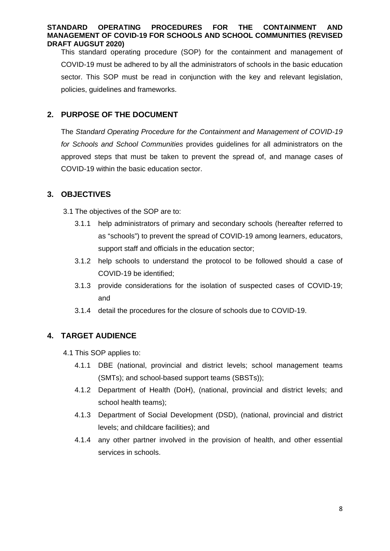This standard operating procedure (SOP) for the containment and management of COVID-19 must be adhered to by all the administrators of schools in the basic education sector. This SOP must be read in conjunction with the key and relevant legislation, policies, guidelines and frameworks.

### **2. PURPOSE OF THE DOCUMENT**

The *Standard Operating Procedure for the Containment and Management of COVID-19 for Schools and School Communities* provides guidelines for all administrators on the approved steps that must be taken to prevent the spread of, and manage cases of COVID-19 within the basic education sector.

### **3. OBJECTIVES**

3.1 The objectives of the SOP are to:

- 3.1.1 help administrators of primary and secondary schools (hereafter referred to as "schools") to prevent the spread of COVID-19 among learners, educators, support staff and officials in the education sector;
- 3.1.2 help schools to understand the protocol to be followed should a case of COVID-19 be identified;
- 3.1.3 provide considerations for the isolation of suspected cases of COVID-19; and
- 3.1.4 detail the procedures for the closure of schools due to COVID-19.

### **4. TARGET AUDIENCE**

4.1 This SOP applies to:

- 4.1.1 DBE (national, provincial and district levels; school management teams (SMTs); and school-based support teams (SBSTs));
- 4.1.2 Department of Health (DoH), (national, provincial and district levels; and school health teams);
- 4.1.3 Department of Social Development (DSD), (national, provincial and district levels; and childcare facilities); and
- 4.1.4 any other partner involved in the provision of health, and other essential services in schools.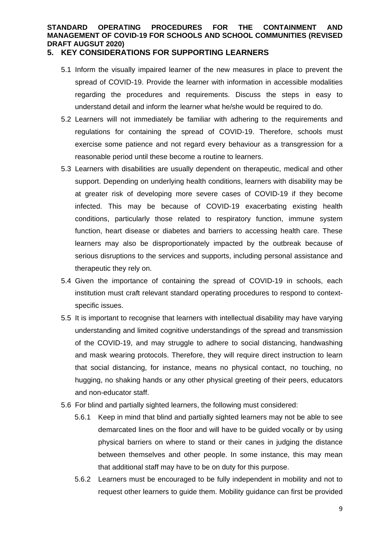### **5. KEY CONSIDERATIONS FOR SUPPORTING LEARNERS**

- 5.1 Inform the visually impaired learner of the new measures in place to prevent the spread of COVID-19. Provide the learner with information in accessible modalities regarding the procedures and requirements. Discuss the steps in easy to understand detail and inform the learner what he/she would be required to do.
- 5.2 Learners will not immediately be familiar with adhering to the requirements and regulations for containing the spread of COVID-19. Therefore, schools must exercise some patience and not regard every behaviour as a transgression for a reasonable period until these become a routine to learners.
- 5.3 Learners with disabilities are usually dependent on therapeutic, medical and other support. Depending on underlying health conditions, learners with disability may be at greater risk of developing more severe cases of COVID-19 if they become infected. This may be because of COVID-19 exacerbating existing health conditions, particularly those related to respiratory function, immune system function, heart disease or diabetes and barriers to accessing health care. These learners may also be disproportionately impacted by the outbreak because of serious disruptions to the services and supports, including personal assistance and therapeutic they rely on.
- 5.4 Given the importance of containing the spread of COVID-19 in schools, each institution must craft relevant standard operating procedures to respond to contextspecific issues.
- 5.5 It is important to recognise that learners with intellectual disability may have varying understanding and limited cognitive understandings of the spread and transmission of the COVID-19, and may struggle to adhere to social distancing, handwashing and mask wearing protocols. Therefore, they will require direct instruction to learn that social distancing, for instance, means no physical contact, no touching, no hugging, no shaking hands or any other physical greeting of their peers, educators and non-educator staff.
- 5.6 For blind and partially sighted learners, the following must considered:
	- 5.6.1 Keep in mind that blind and partially sighted learners may not be able to see demarcated lines on the floor and will have to be guided vocally or by using physical barriers on where to stand or their canes in judging the distance between themselves and other people. In some instance, this may mean that additional staff may have to be on duty for this purpose.
	- 5.6.2 Learners must be encouraged to be fully independent in mobility and not to request other learners to guide them. Mobility guidance can first be provided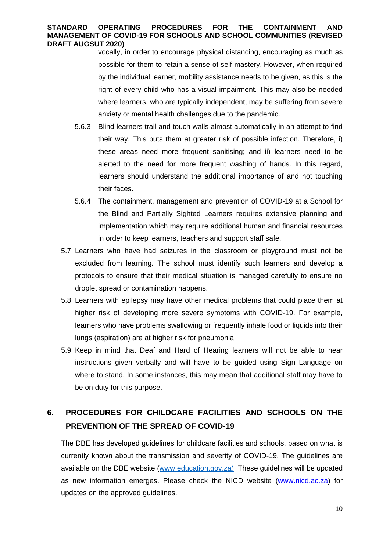vocally, in order to encourage physical distancing, encouraging as much as possible for them to retain a sense of self-mastery. However, when required by the individual learner, mobility assistance needs to be given, as this is the right of every child who has a visual impairment. This may also be needed where learners, who are typically independent, may be suffering from severe anxiety or mental health challenges due to the pandemic.

- 5.6.3 Blind learners trail and touch walls almost automatically in an attempt to find their way. This puts them at greater risk of possible infection. Therefore, i) these areas need more frequent sanitising; and ii) learners need to be alerted to the need for more frequent washing of hands. In this regard, learners should understand the additional importance of and not touching their faces.
- 5.6.4 The containment, management and prevention of COVID-19 at a School for the Blind and Partially Sighted Learners requires extensive planning and implementation which may require additional human and financial resources in order to keep learners, teachers and support staff safe.
- 5.7 Learners who have had seizures in the classroom or playground must not be excluded from learning. The school must identify such learners and develop a protocols to ensure that their medical situation is managed carefully to ensure no droplet spread or contamination happens.
- 5.8 Learners with epilepsy may have other medical problems that could place them at higher risk of developing more severe symptoms with COVID-19. For example, learners who have problems swallowing or frequently inhale food or liquids into their lungs (aspiration) are at higher risk for pneumonia.
- 5.9 Keep in mind that Deaf and Hard of Hearing learners will not be able to hear instructions given verbally and will have to be guided using Sign Language on where to stand. In some instances, this may mean that additional staff may have to be on duty for this purpose.

### **6. PROCEDURES FOR CHILDCARE FACILITIES AND SCHOOLS ON THE PREVENTION OF THE SPREAD OF COVID-19**

The DBE has developed guidelines for childcare facilities and schools, based on what is currently known about the transmission and severity of COVID-19. The guidelines are available on the DBE website (www.education.gov.za). These guidelines will be updated as new information emerges. Please check the NICD website (www.nicd.ac.za) for updates on the approved guidelines.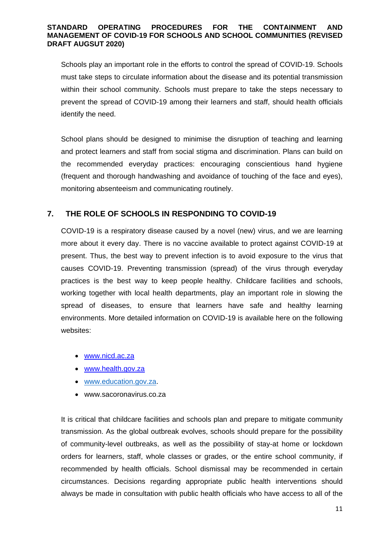Schools play an important role in the efforts to control the spread of COVID-19. Schools must take steps to circulate information about the disease and its potential transmission within their school community. Schools must prepare to take the steps necessary to prevent the spread of COVID-19 among their learners and staff, should health officials identify the need.

School plans should be designed to minimise the disruption of teaching and learning and protect learners and staff from social stigma and discrimination. Plans can build on the recommended everyday practices: encouraging conscientious hand hygiene (frequent and thorough handwashing and avoidance of touching of the face and eyes), monitoring absenteeism and communicating routinely.

### **7. THE ROLE OF SCHOOLS IN RESPONDING TO COVID-19**

COVID-19 is a respiratory disease caused by a novel (new) virus, and we are learning more about it every day. There is no vaccine available to protect against COVID-19 at present. Thus, the best way to prevent infection is to avoid exposure to the virus that causes COVID-19. Preventing transmission (spread) of the virus through everyday practices is the best way to keep people healthy. Childcare facilities and schools, working together with local health departments, play an important role in slowing the spread of diseases, to ensure that learners have safe and healthy learning environments. More detailed information on COVID-19 is available here on the following websites:

- www.nicd.ac.za
- www.health.gov.za
- www.education.gov.za.
- www.sacoronavirus.co.za

It is critical that childcare facilities and schools plan and prepare to mitigate community transmission. As the global outbreak evolves, schools should prepare for the possibility of community-level outbreaks, as well as the possibility of stay-at home or lockdown orders for learners, staff, whole classes or grades, or the entire school community, if recommended by health officials. School dismissal may be recommended in certain circumstances. Decisions regarding appropriate public health interventions should always be made in consultation with public health officials who have access to all of the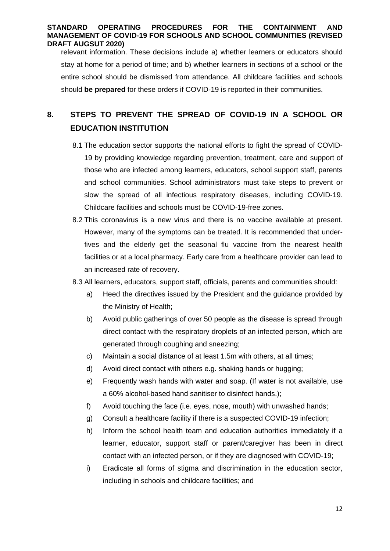relevant information. These decisions include a) whether learners or educators should stay at home for a period of time; and b) whether learners in sections of a school or the entire school should be dismissed from attendance. All childcare facilities and schools should **be prepared** for these orders if COVID-19 is reported in their communities.

### **8. STEPS TO PREVENT THE SPREAD OF COVID-19 IN A SCHOOL OR EDUCATION INSTITUTION**

- 8.1 The education sector supports the national efforts to fight the spread of COVID-19 by providing knowledge regarding prevention, treatment, care and support of those who are infected among learners, educators, school support staff, parents and school communities. School administrators must take steps to prevent or slow the spread of all infectious respiratory diseases, including COVID-19. Childcare facilities and schools must be COVID-19-free zones.
- 8.2 This coronavirus is a new virus and there is no vaccine available at present. However, many of the symptoms can be treated. It is recommended that underfives and the elderly get the seasonal flu vaccine from the nearest health facilities or at a local pharmacy. Early care from a healthcare provider can lead to an increased rate of recovery.
- 8.3 All learners, educators, support staff, officials, parents and communities should:
	- a) Heed the directives issued by the President and the guidance provided by the Ministry of Health;
	- b) Avoid public gatherings of over 50 people as the disease is spread through direct contact with the respiratory droplets of an infected person, which are generated through coughing and sneezing;
	- c) Maintain a social distance of at least 1.5m with others, at all times;
	- d) Avoid direct contact with others e.g. shaking hands or hugging;
	- e) Frequently wash hands with water and soap. (If water is not available, use a 60% alcohol-based hand sanitiser to disinfect hands.);
	- f) Avoid touching the face (i.e. eyes, nose, mouth) with unwashed hands;
	- g) Consult a healthcare facility if there is a suspected COVID-19 infection;
	- h) Inform the school health team and education authorities immediately if a learner, educator, support staff or parent/caregiver has been in direct contact with an infected person, or if they are diagnosed with COVID-19;
	- i) Eradicate all forms of stigma and discrimination in the education sector, including in schools and childcare facilities; and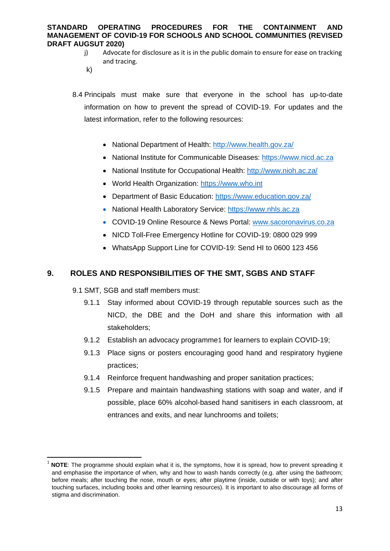- j) Advocate for disclosure as it is in the public domain to ensure for ease on tracking and tracing.
- k)
- 8.4 Principals must make sure that everyone in the school has up-to-date information on how to prevent the spread of COVID-19. For updates and the latest information, refer to the following resources:
	- National Department of Health: http://www.health.gov.za/
	- National Institute for Communicable Diseases: https://www.nicd.ac.za
	- National Institute for Occupational Health: http://www.nioh.ac.za/
	- World Health Organization: https://www.who.int
	- Department of Basic Education: https://www.education.gov.za/
	- National Health Laboratory Service: https://www.nhls.ac.za
	- COVID-19 Online Resource & News Portal: www.sacoronavirus.co.za
	- NICD Toll-Free Emergency Hotline for COVID-19: 0800 029 999
	- WhatsApp Support Line for COVID-19: Send HI to 0600 123 456

### **9. ROLES AND RESPONSIBILITIES OF THE SMT, SGBS AND STAFF**

9.1 SMT, SGB and staff members must:

- 9.1.1 Stay informed about COVID-19 through reputable sources such as the NICD, the DBE and the DoH and share this information with all stakeholders;
- 9.1.2 Establish an advocacy programme1 for learners to explain COVID-19;
- 9.1.3 Place signs or posters encouraging good hand and respiratory hygiene practices;
- 9.1.4 Reinforce frequent handwashing and proper sanitation practices;
- 9.1.5 Prepare and maintain handwashing stations with soap and water, and if possible, place 60% alcohol-based hand sanitisers in each classroom, at entrances and exits, and near lunchrooms and toilets;

**NOTE:** The programme should explain what it is, the symptoms, how it is spread, how to prevent spreading it and emphasise the importance of when, why and how to wash hands correctly (e.g. after using the bathroom; before meals; after touching the nose, mouth or eyes; after playtime (inside, outside or with toys); and after touching surfaces, including books and other learning resources). It is important to also discourage all forms of stigma and discrimination.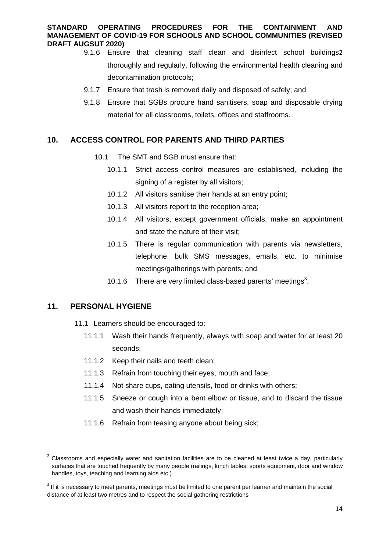- 9.1.6 Ensure that cleaning staff clean and disinfect school buildings2 thoroughly and regularly, following the environmental health cleaning and decontamination protocols;
- 9.1.7 Ensure that trash is removed daily and disposed of safely; and
- 9.1.8 Ensure that SGBs procure hand sanitisers, soap and disposable drying material for all classrooms, toilets, offices and staffrooms.

### **10. ACCESS CONTROL FOR PARENTS AND THIRD PARTIES**

- 10.1 The SMT and SGB must ensure that:
	- 10.1.1 Strict access control measures are established, including the signing of a register by all visitors;
	- 10.1.2 All visitors sanitise their hands at an entry point;
	- 10.1.3 All visitors report to the reception area;
	- 10.1.4 All visitors, except government officials, make an appointment and state the nature of their visit;
	- 10.1.5 There is regular communication with parents via newsletters, telephone, bulk SMS messages, emails, etc. to minimise meetings/gatherings with parents; and
	- 10.1.6 There are very limited class-based parents' meetings $3$ .

### **11. PERSONAL HYGIENE**

- 11.1 Learners should be encouraged to:
	- 11.1.1 Wash their hands frequently, always with soap and water for at least 20 seconds;
	- 11.1.2 Keep their nails and teeth clean;
	- 11.1.3 Refrain from touching their eyes, mouth and face;
	- 11.1.4 Not share cups, eating utensils, food or drinks with others;
	- 11.1.5 Sneeze or cough into a bent elbow or tissue, and to discard the tissue and wash their hands immediately;
	- 11.1.6 Refrain from teasing anyone about being sick;

<sup>2</sup> Classrooms and especially water and sanitation facilities are to be cleaned at least twice a day, particularly surfaces that are touched frequently by many people (railings, lunch tables, sports equipment, door and window handles, toys, teaching and learning aids etc.).

<sup>&</sup>lt;sup>3</sup> If it is necessary to meet parents, meetings must be limited to one parent per learner and maintain the social distance of at least two metres and to respect the social gathering restrictions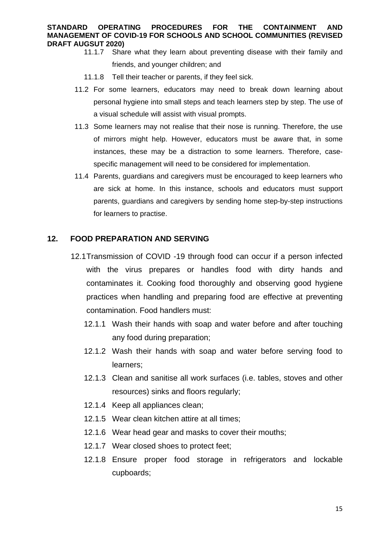- 11.1.7 Share what they learn about preventing disease with their family and friends, and younger children; and
	- 11.1.8 Tell their teacher or parents, if they feel sick.
- 11.2 For some learners, educators may need to break down learning about personal hygiene into small steps and teach learners step by step. The use of a visual schedule will assist with visual prompts.
- 11.3 Some learners may not realise that their nose is running. Therefore, the use of mirrors might help. However, educators must be aware that, in some instances, these may be a distraction to some learners. Therefore, casespecific management will need to be considered for implementation.
- 11.4 Parents, guardians and caregivers must be encouraged to keep learners who are sick at home. In this instance, schools and educators must support parents, guardians and caregivers by sending home step-by-step instructions for learners to practise.

### **12. FOOD PREPARATION AND SERVING**

- 12.1 Transmission of COVID -19 through food can occur if a person infected with the virus prepares or handles food with dirty hands and contaminates it. Cooking food thoroughly and observing good hygiene practices when handling and preparing food are effective at preventing contamination. Food handlers must:
	- 12.1.1 Wash their hands with soap and water before and after touching any food during preparation;
	- 12.1.2 Wash their hands with soap and water before serving food to learners;
	- 12.1.3 Clean and sanitise all work surfaces (i.e. tables, stoves and other resources) sinks and floors regularly;
	- 12.1.4 Keep all appliances clean;
	- 12.1.5 Wear clean kitchen attire at all times;
	- 12.1.6 Wear head gear and masks to cover their mouths;
	- 12.1.7 Wear closed shoes to protect feet;
	- 12.1.8 Ensure proper food storage in refrigerators and lockable cupboards;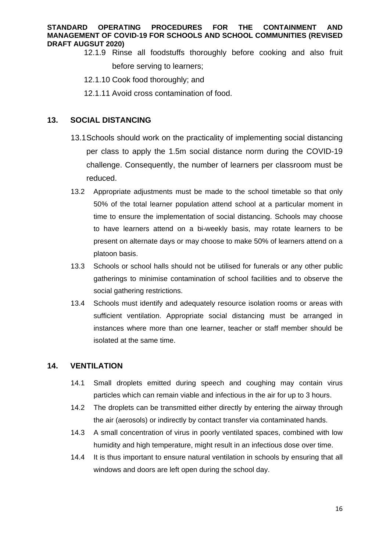- 12.1.9 Rinse all foodstuffs thoroughly before cooking and also fruit before serving to learners;
	- 12.1.10 Cook food thoroughly; and
	- 12.1.11 Avoid cross contamination of food.

### **13. SOCIAL DISTANCING**

- 13.1 Schools should work on the practicality of implementing social distancing per class to apply the 1.5m social distance norm during the COVID-19 challenge. Consequently, the number of learners per classroom must be reduced.
- 13.2 Appropriate adjustments must be made to the school timetable so that only 50% of the total learner population attend school at a particular moment in time to ensure the implementation of social distancing. Schools may choose to have learners attend on a bi-weekly basis, may rotate learners to be present on alternate days or may choose to make 50% of learners attend on a platoon basis.
- 13.3 Schools or school halls should not be utilised for funerals or any other public gatherings to minimise contamination of school facilities and to observe the social gathering restrictions.
- 13.4 Schools must identify and adequately resource isolation rooms or areas with sufficient ventilation. Appropriate social distancing must be arranged in instances where more than one learner, teacher or staff member should be isolated at the same time.

### **14. VENTILATION**

- 14.1 Small droplets emitted during speech and coughing may contain virus particles which can remain viable and infectious in the air for up to 3 hours.
- 14.2 The droplets can be transmitted either directly by entering the airway through the air (aerosols) or indirectly by contact transfer via contaminated hands.
- 14.3 A small concentration of virus in poorly ventilated spaces, combined with low humidity and high temperature, might result in an infectious dose over time.
- 14.4 It is thus important to ensure natural ventilation in schools by ensuring that all windows and doors are left open during the school day.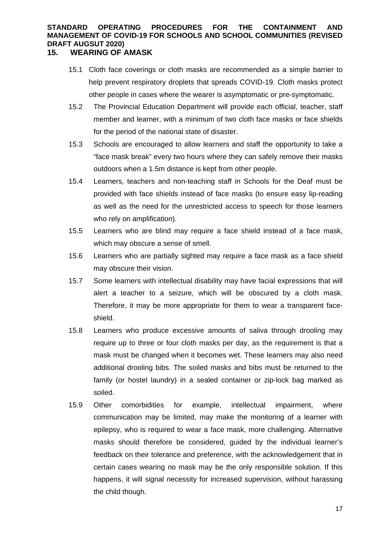### **15. WEARING OF AMASK**

- 15.1 Cloth face coverings or cloth masks are recommended as a simple barrier to help prevent respiratory droplets that spreads COVID-19. Cloth masks protect other people in cases where the wearer is asymptomatic or pre-symptomatic.
- 15.2 The Provincial Education Department will provide each official, teacher, staff member and learner, with a minimum of two cloth face masks or face shields for the period of the national state of disaster.
- 15.3 Schools are encouraged to allow learners and staff the opportunity to take a "face mask break" every two hours where they can safely remove their masks outdoors when a 1.5m distance is kept from other people.
- 15.4 Learners, teachers and non-teaching staff in Schools for the Deaf must be provided with face shields instead of face masks (to ensure easy lip-reading as well as the need for the unrestricted access to speech for those learners who rely on amplification).
- 15.5 Learners who are blind may require a face shield instead of a face mask, which may obscure a sense of smell.
- 15.6 Learners who are partially sighted may require a face mask as a face shield may obscure their vision.
- 15.7 Some learners with intellectual disability may have facial expressions that will alert a teacher to a seizure, which will be obscured by a cloth mask. Therefore, it may be more appropriate for them to wear a transparent faceshield.
- 15.8 Learners who produce excessive amounts of saliva through drooling may require up to three or four cloth masks per day, as the requirement is that a mask must be changed when it becomes wet. These learners may also need additional drooling bibs. The soiled masks and bibs must be returned to the family (or hostel laundry) in a sealed container or zip-lock bag marked as soiled.
- 15.9 Other comorbidities for example, intellectual impairment, where communication may be limited, may make the monitoring of a learner with epilepsy, who is required to wear a face mask, more challenging. Alternative masks should therefore be considered, guided by the individual learner's feedback on their tolerance and preference, with the acknowledgement that in certain cases wearing no mask may be the only responsible solution. If this happens, it will signal necessity for increased supervision, without harassing the child though.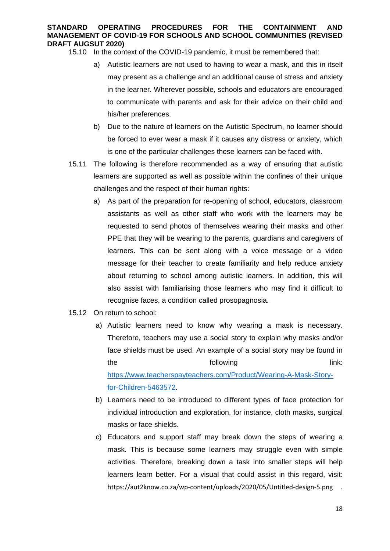- 15.10 In the context of the COVID-19 pandemic, it must be remembered that:
	- a) Autistic learners are not used to having to wear a mask, and this in itself may present as a challenge and an additional cause of stress and anxiety in the learner. Wherever possible, schools and educators are encouraged to communicate with parents and ask for their advice on their child and his/her preferences.
	- b) Due to the nature of learners on the Autistic Spectrum, no learner should be forced to ever wear a mask if it causes any distress or anxiety, which is one of the particular challenges these learners can be faced with.
- 15.11 The following is therefore recommended as a way of ensuring that autistic learners are supported as well as possible within the confines of their unique challenges and the respect of their human rights:
	- a) As part of the preparation for re-opening of school, educators, classroom assistants as well as other staff who work with the learners may be requested to send photos of themselves wearing their masks and other PPE that they will be wearing to the parents, guardians and caregivers of learners. This can be sent along with a voice message or a video message for their teacher to create familiarity and help reduce anxiety about returning to school among autistic learners. In addition, this will also assist with familiarising those learners who may find it difficult to recognise faces, a condition called prosopagnosia.
- 15.12 On return to school:
	- a) Autistic learners need to know why wearing a mask is necessary. Therefore, teachers may use a social story to explain why masks and/or face shields must be used. An example of a social story may be found in the **following** the link: https://www.teacherspayteachers.com/Product/Wearing-A-Mask-Storyfor-Children-5463572.
	- b) Learners need to be introduced to different types of face protection for individual introduction and exploration, for instance, cloth masks, surgical masks or face shields.
	- c) Educators and support staff may break down the steps of wearing a mask. This is because some learners may struggle even with simple activities. Therefore, breaking down a task into smaller steps will help learners learn better. For a visual that could assist in this regard, visit: https://aut2know.co.za/wp-content/uploads/2020/05/Untitled-design-5.png .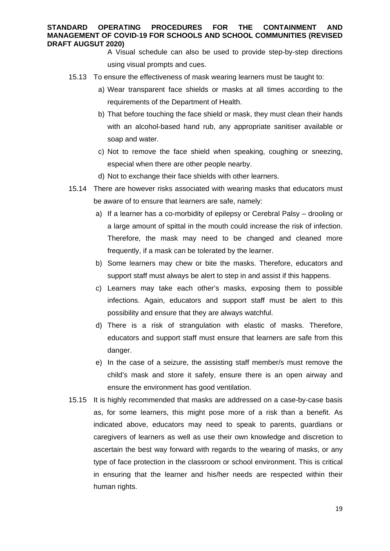A Visual schedule can also be used to provide step-by-step directions using visual prompts and cues.

- 15.13 To ensure the effectiveness of mask wearing learners must be taught to:
	- a) Wear transparent face shields or masks at all times according to the requirements of the Department of Health.
	- b) That before touching the face shield or mask, they must clean their hands with an alcohol-based hand rub, any appropriate sanitiser available or soap and water.
	- c) Not to remove the face shield when speaking, coughing or sneezing, especial when there are other people nearby.
	- d) Not to exchange their face shields with other learners.
- 15.14 There are however risks associated with wearing masks that educators must be aware of to ensure that learners are safe, namely:
	- a) If a learner has a co-morbidity of epilepsy or Cerebral Palsy drooling or a large amount of spittal in the mouth could increase the risk of infection. Therefore, the mask may need to be changed and cleaned more frequently, if a mask can be tolerated by the learner.
	- b) Some learners may chew or bite the masks. Therefore, educators and support staff must always be alert to step in and assist if this happens.
	- c) Learners may take each other's masks, exposing them to possible infections. Again, educators and support staff must be alert to this possibility and ensure that they are always watchful.
	- d) There is a risk of strangulation with elastic of masks. Therefore, educators and support staff must ensure that learners are safe from this danger.
	- e) In the case of a seizure, the assisting staff member/s must remove the child's mask and store it safely, ensure there is an open airway and ensure the environment has good ventilation.
- 15.15 It is highly recommended that masks are addressed on a case-by-case basis as, for some learners, this might pose more of a risk than a benefit. As indicated above, educators may need to speak to parents, guardians or caregivers of learners as well as use their own knowledge and discretion to ascertain the best way forward with regards to the wearing of masks, or any type of face protection in the classroom or school environment. This is critical in ensuring that the learner and his/her needs are respected within their human rights.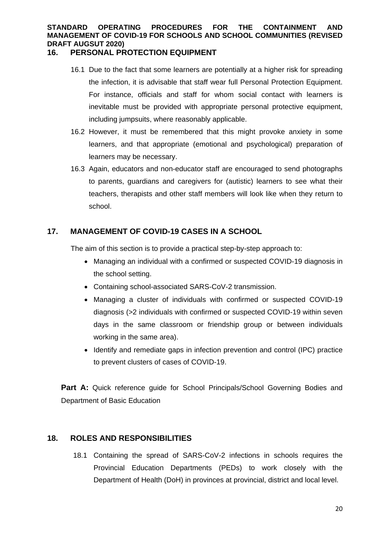### **16. PERSONAL PROTECTION EQUIPMENT**

- 16.1 Due to the fact that some learners are potentially at a higher risk for spreading the infection, it is advisable that staff wear full Personal Protection Equipment. For instance, officials and staff for whom social contact with learners is inevitable must be provided with appropriate personal protective equipment, including jumpsuits, where reasonably applicable.
- 16.2 However, it must be remembered that this might provoke anxiety in some learners, and that appropriate (emotional and psychological) preparation of learners may be necessary.
- 16.3 Again, educators and non-educator staff are encouraged to send photographs to parents, guardians and caregivers for (autistic) learners to see what their teachers, therapists and other staff members will look like when they return to school.

### **17. MANAGEMENT OF COVID-19 CASES IN A SCHOOL**

The aim of this section is to provide a practical step-by-step approach to:

- Managing an individual with a confirmed or suspected COVID-19 diagnosis in the school setting.
- Containing school-associated SARS-CoV-2 transmission.
- Managing a cluster of individuals with confirmed or suspected COVID-19 diagnosis (>2 individuals with confirmed or suspected COVID-19 within seven days in the same classroom or friendship group or between individuals working in the same area).
- Identify and remediate gaps in infection prevention and control (IPC) practice to prevent clusters of cases of COVID-19.

**Part A:** Quick reference guide for School Principals/School Governing Bodies and Department of Basic Education

### **18. ROLES AND RESPONSIBILITIES**

18.1 Containing the spread of SARS-CoV-2 infections in schools requires the Provincial Education Departments (PEDs) to work closely with the Department of Health (DoH) in provinces at provincial, district and local level.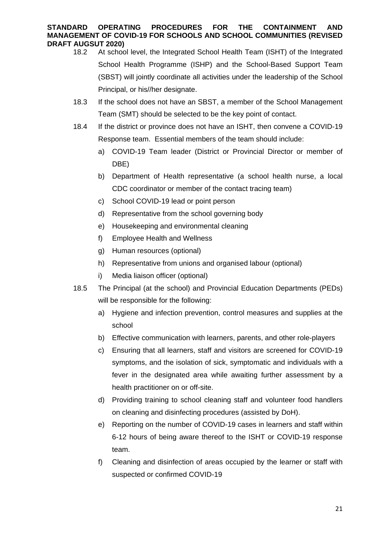- 18.2 At school level, the Integrated School Health Team (ISHT) of the Integrated School Health Programme (ISHP) and the School-Based Support Team (SBST) will jointly coordinate all activities under the leadership of the School Principal, or his//her designate.
- 18.3 If the school does not have an SBST, a member of the School Management Team (SMT) should be selected to be the key point of contact.
- 18.4 If the district or province does not have an ISHT, then convene a COVID-19 Response team. Essential members of the team should include:
	- a) COVID-19 Team leader (District or Provincial Director or member of DBE)
	- b) Department of Health representative (a school health nurse, a local CDC coordinator or member of the contact tracing team)
	- c) School COVID-19 lead or point person
	- d) Representative from the school governing body
	- e) Housekeeping and environmental cleaning
	- f) Employee Health and Wellness
	- g) Human resources (optional)
	- h) Representative from unions and organised labour (optional)
	- i) Media liaison officer (optional)
- 18.5 The Principal (at the school) and Provincial Education Departments (PEDs) will be responsible for the following:
	- a) Hygiene and infection prevention, control measures and supplies at the school
	- b) Effective communication with learners, parents, and other role-players
	- c) Ensuring that all learners, staff and visitors are screened for COVID-19 symptoms, and the isolation of sick, symptomatic and individuals with a fever in the designated area while awaiting further assessment by a health practitioner on or off-site.
	- d) Providing training to school cleaning staff and volunteer food handlers on cleaning and disinfecting procedures (assisted by DoH).
	- e) Reporting on the number of COVID-19 cases in learners and staff within 6-12 hours of being aware thereof to the ISHT or COVID-19 response team.
	- f) Cleaning and disinfection of areas occupied by the learner or staff with suspected or confirmed COVID-19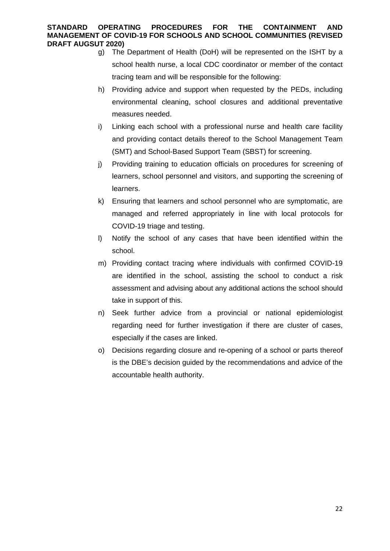- g) The Department of Health (DoH) will be represented on the ISHT by a school health nurse, a local CDC coordinator or member of the contact tracing team and will be responsible for the following:
- h) Providing advice and support when requested by the PEDs, including environmental cleaning, school closures and additional preventative measures needed.
- i) Linking each school with a professional nurse and health care facility and providing contact details thereof to the School Management Team (SMT) and School-Based Support Team (SBST) for screening.
- j) Providing training to education officials on procedures for screening of learners, school personnel and visitors, and supporting the screening of learners.
- k) Ensuring that learners and school personnel who are symptomatic, are managed and referred appropriately in line with local protocols for COVID-19 triage and testing.
- l) Notify the school of any cases that have been identified within the school.
- m) Providing contact tracing where individuals with confirmed COVID-19 are identified in the school, assisting the school to conduct a risk assessment and advising about any additional actions the school should take in support of this.
- n) Seek further advice from a provincial or national epidemiologist regarding need for further investigation if there are cluster of cases, especially if the cases are linked.
- o) Decisions regarding closure and re-opening of a school or parts thereof is the DBE's decision guided by the recommendations and advice of the accountable health authority.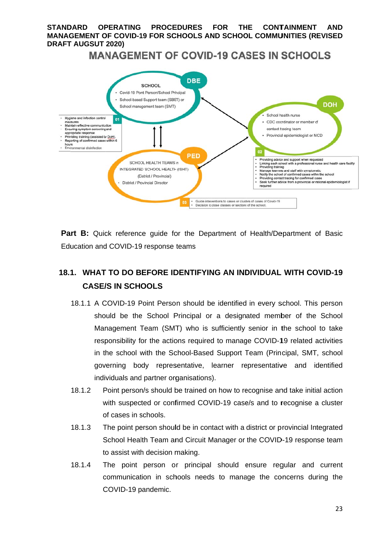#### $STANDARD$  OP **MANAGEMENT OF COVID-19 FOR SCHOOLS AND SCHOOL COMMUNITIES (REVISED DRAFT T AUGSUT 2020)**  *<u>OPERATING</u>* **PROCE EDURES FOR TH HE CONTAINMENT AND**

**MANAGEMENT OF COVID-19 CASES IN SCHOOLS** 



Part B: Quick reference guide for the Department of Health/Department of Basic Education and COVID-19 response teams

### 18.1. WHAT TO DO BEFORE IDENTIFYING AN INDIVIDUAL WITH COVID-19 **CASE/ /S IN SCH OOLS**

- 18.1.1 A COVID-19 Point Person should be identified in every school. This person should be the School Principal or a designated member of the School Management Team (SMT) who is sufficiently senior in the school to take responsibility for the actions required to manage COVID-19 related activities in the school with the School-Based Support Team (Principal, SMT, school governing body representative, learner representative and identified individuals and partner organisations).
- 18.1.2 P with suspected or confirmed COVID-19 case/s and to recognise a cluster of cases in schools. Point person/s should be trained on how to recognise and take initial action
- 18.1.3 T School Health Team and Circuit Manager or the COVID-19 response team to assist with decision making. The point person should be in contact with a district or provincial Integrated
- 18.1.4 communication in schools needs to manage the concerns during the C COVID-19 p pandemic. The point person or principal should ensure regular and current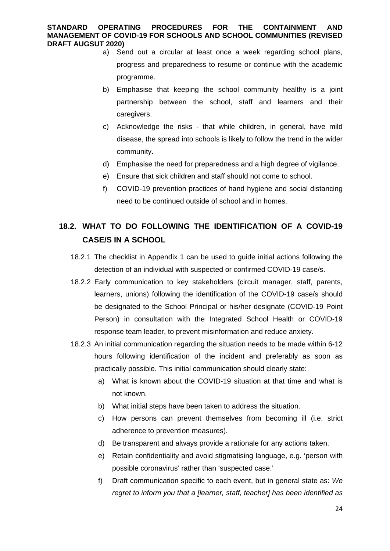- a) Send out a circular at least once a week regarding school plans, progress and preparedness to resume or continue with the academic programme.
- b) Emphasise that keeping the school community healthy is a joint partnership between the school, staff and learners and their caregivers.
- c) Acknowledge the risks that while children, in general, have mild disease, the spread into schools is likely to follow the trend in the wider community.
- d) Emphasise the need for preparedness and a high degree of vigilance.
- e) Ensure that sick children and staff should not come to school.
- f) COVID-19 prevention practices of hand hygiene and social distancing need to be continued outside of school and in homes.

### **18.2. WHAT TO DO FOLLOWING THE IDENTIFICATION OF A COVID-19 CASE/S IN A SCHOOL**

- 18.2.1 The checklist in Appendix 1 can be used to guide initial actions following the detection of an individual with suspected or confirmed COVID-19 case/s.
- 18.2.2 Early communication to key stakeholders (circuit manager, staff, parents, learners, unions) following the identification of the COVID-19 case/s should be designated to the School Principal or his/her designate (COVID-19 Point Person) in consultation with the Integrated School Health or COVID-19 response team leader, to prevent misinformation and reduce anxiety.
- 18.2.3 An initial communication regarding the situation needs to be made within 6-12 hours following identification of the incident and preferably as soon as practically possible. This initial communication should clearly state:
	- a) What is known about the COVID-19 situation at that time and what is not known.
	- b) What initial steps have been taken to address the situation.
	- c) How persons can prevent themselves from becoming ill (i.e. strict adherence to prevention measures).
	- d) Be transparent and always provide a rationale for any actions taken.
	- e) Retain confidentiality and avoid stigmatising language, e.g. 'person with possible coronavirus' rather than 'suspected case.'
	- f) Draft communication specific to each event, but in general state as: *We regret to inform you that a [learner, staff, teacher] has been identified as*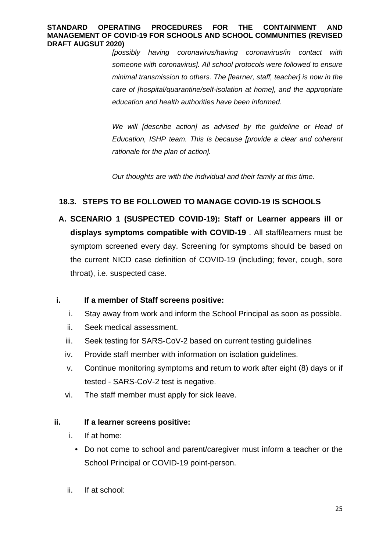*[possibly having coronavirus/having coronavirus/in contact with someone with coronavirus]. All school protocols were followed to ensure minimal transmission to others. The [learner, staff, teacher] is now in the care of [hospital/quarantine/self-isolation at home], and the appropriate education and health authorities have been informed.* 

We will *[describe action] as advised by the quideline or Head of Education, ISHP team. This is because [provide a clear and coherent rationale for the plan of action].* 

*Our thoughts are with the individual and their family at this time.* 

### **18.3. STEPS TO BE FOLLOWED TO MANAGE COVID-19 IS SCHOOLS**

**A. SCENARIO 1 (SUSPECTED COVID-19): Staff or Learner appears ill or displays symptoms compatible with COVID-19** . All staff/learners must be symptom screened every day. Screening for symptoms should be based on the current NICD case definition of COVID-19 (including; fever, cough, sore throat), i.e. suspected case.

### **i. If a member of Staff screens positive:**

- i. Stay away from work and inform the School Principal as soon as possible.
- ii. Seek medical assessment.
- iii. Seek testing for SARS-CoV-2 based on current testing guidelines
- iv. Provide staff member with information on isolation guidelines.
- v. Continue monitoring symptoms and return to work after eight (8) days or if tested - SARS-CoV-2 test is negative.
- vi. The staff member must apply for sick leave.

### **ii. If a learner screens positive:**

- i. If at home:
	- Do not come to school and parent/caregiver must inform a teacher or the School Principal or COVID-19 point-person.
- ii. If at school: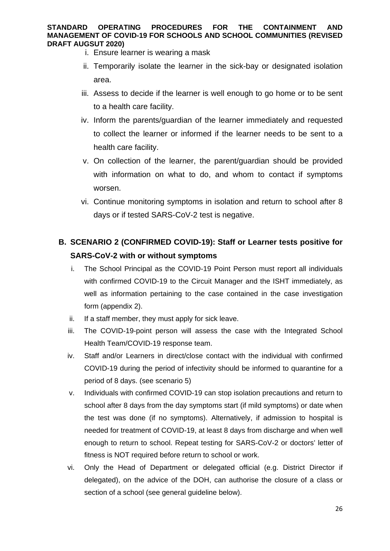- i. Ensure learner is wearing a mask
- ii. Temporarily isolate the learner in the sick-bay or designated isolation area.
- iii. Assess to decide if the learner is well enough to go home or to be sent to a health care facility.
- iv. Inform the parents/guardian of the learner immediately and requested to collect the learner or informed if the learner needs to be sent to a health care facility.
- v. On collection of the learner, the parent/guardian should be provided with information on what to do, and whom to contact if symptoms worsen.
- vi. Continue monitoring symptoms in isolation and return to school after 8 days or if tested SARS-CoV-2 test is negative.

### **B. SCENARIO 2 (CONFIRMED COVID-19): Staff or Learner tests positive for SARS-CoV-2 with or without symptoms**

- i. The School Principal as the COVID-19 Point Person must report all individuals with confirmed COVID-19 to the Circuit Manager and the ISHT immediately, as well as information pertaining to the case contained in the case investigation form (appendix 2).
- ii. If a staff member, they must apply for sick leave.
- iii. The COVID-19-point person will assess the case with the Integrated School Health Team/COVID-19 response team.
- iv. Staff and/or Learners in direct/close contact with the individual with confirmed COVID-19 during the period of infectivity should be informed to quarantine for a period of 8 days. (see scenario 5)
- v. Individuals with confirmed COVID-19 can stop isolation precautions and return to school after 8 days from the day symptoms start (if mild symptoms) or date when the test was done (if no symptoms). Alternatively, if admission to hospital is needed for treatment of COVID-19, at least 8 days from discharge and when well enough to return to school. Repeat testing for SARS-CoV-2 or doctors' letter of fitness is NOT required before return to school or work.
- vi. Only the Head of Department or delegated official (e.g. District Director if delegated), on the advice of the DOH, can authorise the closure of a class or section of a school (see general guideline below).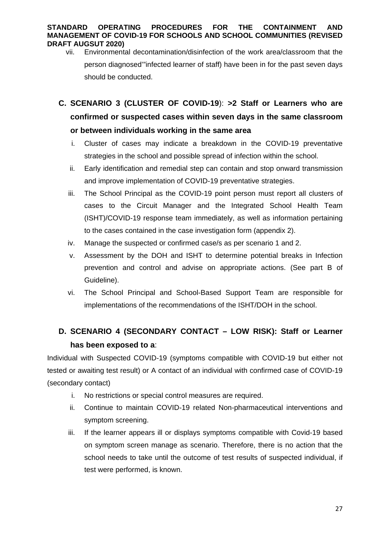- vii. Environmental decontamination/disinfection of the work area/classroom that the person diagnosed'"infected learner of staff) have been in for the past seven days should be conducted.
- **C. SCENARIO 3 (CLUSTER OF COVID-19**): **>2 Staff or Learners who are confirmed or suspected cases within seven days in the same classroom or between individuals working in the same area** 
	- i. Cluster of cases may indicate a breakdown in the COVID-19 preventative strategies in the school and possible spread of infection within the school.
	- ii. Early identification and remedial step can contain and stop onward transmission and improve implementation of COVID-19 preventative strategies.
	- iii. The School Principal as the COVID-19 point person must report all clusters of cases to the Circuit Manager and the Integrated School Health Team (ISHT)/COVID-19 response team immediately, as well as information pertaining to the cases contained in the case investigation form (appendix 2).
	- iv. Manage the suspected or confirmed case/s as per scenario 1 and 2.
	- v. Assessment by the DOH and ISHT to determine potential breaks in Infection prevention and control and advise on appropriate actions. (See part B of Guideline).
	- vi. The School Principal and School-Based Support Team are responsible for implementations of the recommendations of the ISHT/DOH in the school.

### **D. SCENARIO 4 (SECONDARY CONTACT – LOW RISK): Staff or Learner has been exposed to a**:

Individual with Suspected COVID-19 (symptoms compatible with COVID-19 but either not tested or awaiting test result) or A contact of an individual with confirmed case of COVID-19 (secondary contact)

- i. No restrictions or special control measures are required.
- ii. Continue to maintain COVID-19 related Non-pharmaceutical interventions and symptom screening.
- iii. If the learner appears ill or displays symptoms compatible with Covid-19 based on symptom screen manage as scenario. Therefore, there is no action that the school needs to take until the outcome of test results of suspected individual, if test were performed, is known.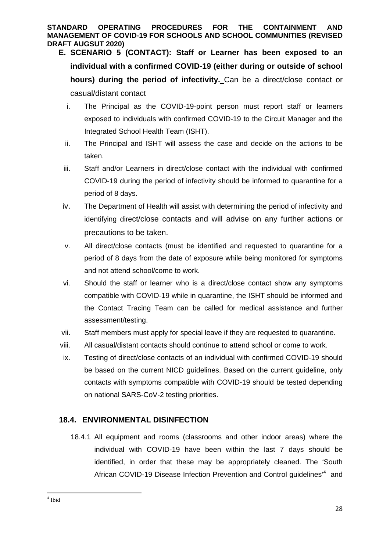- **E. SCENARIO 5 (CONTACT): Staff or Learner has been exposed to an individual with a confirmed COVID-19 (either during or outside of school hours) during the period of infectivity.** Can be a direct/close contact or casual/distant contact
	- i. The Principal as the COVID-19-point person must report staff or learners exposed to individuals with confirmed COVID-19 to the Circuit Manager and the Integrated School Health Team (ISHT).
	- ii. The Principal and ISHT will assess the case and decide on the actions to be taken.
	- iii. Staff and/or Learners in direct/close contact with the individual with confirmed COVID-19 during the period of infectivity should be informed to quarantine for a period of 8 days.
	- iv. The Department of Health will assist with determining the period of infectivity and identifying direct/close contacts and will advise on any further actions or precautions to be taken.
	- v. All direct/close contacts (must be identified and requested to quarantine for a period of 8 days from the date of exposure while being monitored for symptoms and not attend school/come to work.
	- vi. Should the staff or learner who is a direct/close contact show any symptoms compatible with COVID-19 while in quarantine, the ISHT should be informed and the Contact Tracing Team can be called for medical assistance and further assessment/testing.
- vii. Staff members must apply for special leave if they are requested to quarantine.
- viii. All casual/distant contacts should continue to attend school or come to work.
- ix. Testing of direct/close contacts of an individual with confirmed COVID-19 should be based on the current NICD guidelines. Based on the current guideline, only contacts with symptoms compatible with COVID-19 should be tested depending on national SARS-CoV-2 testing priorities.

### **18.4. ENVIRONMENTAL DISINFECTION**

18.4.1 All equipment and rooms (classrooms and other indoor areas) where the individual with COVID-19 have been within the last 7 days should be identified, in order that these may be appropriately cleaned. The 'South African COVID-19 Disease Infection Prevention and Control guidelines<sup>14</sup> and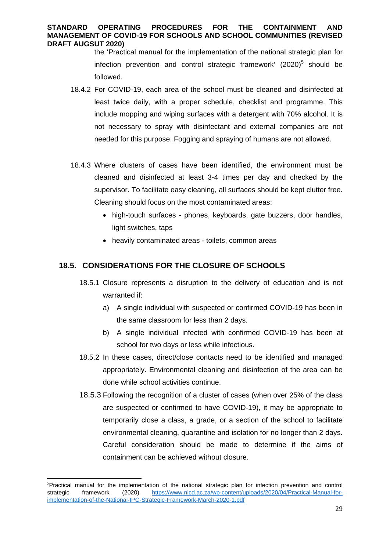the 'Practical manual for the implementation of the national strategic plan for infection prevention and control strategic framework'  $(2020)^5$  should be followed.

- 18.4.2 For COVID-19, each area of the school must be cleaned and disinfected at least twice daily, with a proper schedule, checklist and programme. This include mopping and wiping surfaces with a detergent with 70% alcohol. It is not necessary to spray with disinfectant and external companies are not needed for this purpose. Fogging and spraying of humans are not allowed.
- 18.4.3 Where clusters of cases have been identified, the environment must be cleaned and disinfected at least 3-4 times per day and checked by the supervisor. To facilitate easy cleaning, all surfaces should be kept clutter free. Cleaning should focus on the most contaminated areas:
	- high-touch surfaces phones, keyboards, gate buzzers, door handles, light switches, taps
	- heavily contaminated areas toilets, common areas

### **18.5. CONSIDERATIONS FOR THE CLOSURE OF SCHOOLS**

- 18.5.1 Closure represents a disruption to the delivery of education and is not warranted if:
	- a) A single individual with suspected or confirmed COVID-19 has been in the same classroom for less than 2 days.
	- b) A single individual infected with confirmed COVID-19 has been at school for two days or less while infectious.
- 18.5.2 In these cases, direct/close contacts need to be identified and managed appropriately. Environmental cleaning and disinfection of the area can be done while school activities continue.
- 18.5.3 Following the recognition of a cluster of cases (when over 25% of the class are suspected or confirmed to have COVID-19), it may be appropriate to temporarily close a class, a grade, or a section of the school to facilitate environmental cleaning, quarantine and isolation for no longer than 2 days. Careful consideration should be made to determine if the aims of containment can be achieved without closure.

<sup>&</sup>lt;sup>5</sup>Practical manual for the implementation of the national strategic plan for infection prevention and control strategic framework (2020) https://www.nicd.ac.za/wp-content/uploads/2020/04/Practical-Manual-forimplementation-of-the-National-IPC-Strategic-Framework-March-2020-1.pdf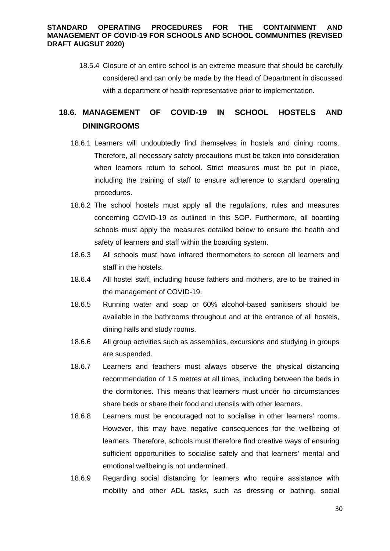18.5.4 Closure of an entire school is an extreme measure that should be carefully considered and can only be made by the Head of Department in discussed with a department of health representative prior to implementation.

### **18.6. MANAGEMENT OF COVID-19 IN SCHOOL HOSTELS AND DININGROOMS**

- 18.6.1 Learners will undoubtedly find themselves in hostels and dining rooms. Therefore, all necessary safety precautions must be taken into consideration when learners return to school. Strict measures must be put in place, including the training of staff to ensure adherence to standard operating procedures.
- 18.6.2 The school hostels must apply all the regulations, rules and measures concerning COVID-19 as outlined in this SOP. Furthermore, all boarding schools must apply the measures detailed below to ensure the health and safety of learners and staff within the boarding system.
- 18.6.3 All schools must have infrared thermometers to screen all learners and staff in the hostels.
- 18.6.4 All hostel staff, including house fathers and mothers, are to be trained in the management of COVID-19.
- 18.6.5 Running water and soap or 60% alcohol-based sanitisers should be available in the bathrooms throughout and at the entrance of all hostels, dining halls and study rooms.
- 18.6.6 All group activities such as assemblies, excursions and studying in groups are suspended.
- 18.6.7 Learners and teachers must always observe the physical distancing recommendation of 1.5 metres at all times, including between the beds in the dormitories. This means that learners must under no circumstances share beds or share their food and utensils with other learners.
- 18.6.8 Learners must be encouraged not to socialise in other learners' rooms. However, this may have negative consequences for the wellbeing of learners. Therefore, schools must therefore find creative ways of ensuring sufficient opportunities to socialise safely and that learners' mental and emotional wellbeing is not undermined.
- 18.6.9 Regarding social distancing for learners who require assistance with mobility and other ADL tasks, such as dressing or bathing, social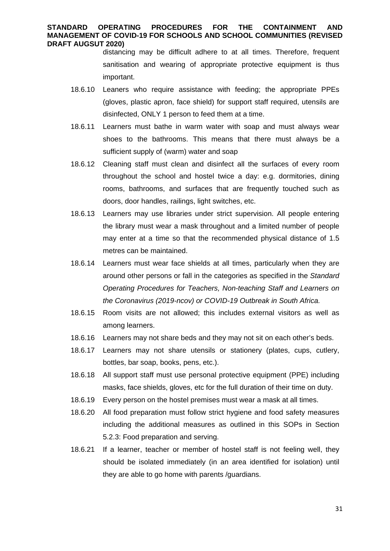distancing may be difficult adhere to at all times. Therefore, frequent sanitisation and wearing of appropriate protective equipment is thus important.

- 18.6.10 Leaners who require assistance with feeding; the appropriate PPEs (gloves, plastic apron, face shield) for support staff required, utensils are disinfected, ONLY 1 person to feed them at a time.
- 18.6.11 Learners must bathe in warm water with soap and must always wear shoes to the bathrooms. This means that there must always be a sufficient supply of (warm) water and soap
- 18.6.12 Cleaning staff must clean and disinfect all the surfaces of every room throughout the school and hostel twice a day: e.g. dormitories, dining rooms, bathrooms, and surfaces that are frequently touched such as doors, door handles, railings, light switches, etc.
- 18.6.13 Learners may use libraries under strict supervision. All people entering the library must wear a mask throughout and a limited number of people may enter at a time so that the recommended physical distance of 1.5 metres can be maintained.
- 18.6.14 Learners must wear face shields at all times, particularly when they are around other persons or fall in the categories as specified in the *Standard Operating Procedures for Teachers, Non-teaching Staff and Learners on the Coronavirus (2019-ncov) or COVID-19 Outbreak in South Africa.*
- 18.6.15 Room visits are not allowed; this includes external visitors as well as among learners.
- 18.6.16 Learners may not share beds and they may not sit on each other's beds.
- 18.6.17 Learners may not share utensils or stationery (plates, cups, cutlery, bottles, bar soap, books, pens, etc.).
- 18.6.18 All support staff must use personal protective equipment (PPE) including masks, face shields, gloves, etc for the full duration of their time on duty.
- 18.6.19 Every person on the hostel premises must wear a mask at all times.
- 18.6.20 All food preparation must follow strict hygiene and food safety measures including the additional measures as outlined in this SOPs in Section 5.2.3: Food preparation and serving.
- 18.6.21 If a learner, teacher or member of hostel staff is not feeling well, they should be isolated immediately (in an area identified for isolation) until they are able to go home with parents /guardians.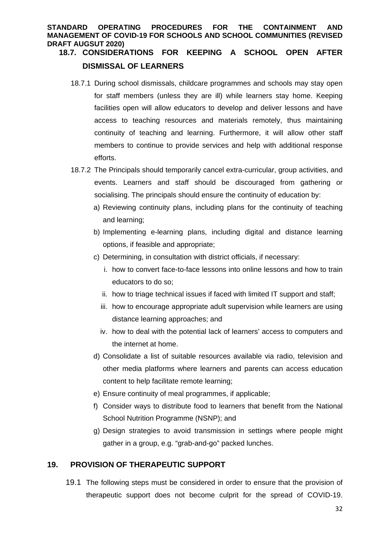### **18.7. CONSIDERATIONS FOR KEEPING A SCHOOL OPEN AFTER DISMISSAL OF LEARNERS**

- 18.7.1 During school dismissals, childcare programmes and schools may stay open for staff members (unless they are ill) while learners stay home. Keeping facilities open will allow educators to develop and deliver lessons and have access to teaching resources and materials remotely, thus maintaining continuity of teaching and learning. Furthermore, it will allow other staff members to continue to provide services and help with additional response efforts.
- 18.7.2 The Principals should temporarily cancel extra-curricular, group activities, and events. Learners and staff should be discouraged from gathering or socialising. The principals should ensure the continuity of education by:
	- a) Reviewing continuity plans, including plans for the continuity of teaching and learning;
	- b) Implementing e-learning plans, including digital and distance learning options, if feasible and appropriate;
	- c) Determining, in consultation with district officials, if necessary:
		- i. how to convert face-to-face lessons into online lessons and how to train educators to do so;
		- ii. how to triage technical issues if faced with limited IT support and staff;
		- iii. how to encourage appropriate adult supervision while learners are using distance learning approaches; and
		- iv. how to deal with the potential lack of learners' access to computers and the internet at home.
	- d) Consolidate a list of suitable resources available via radio, television and other media platforms where learners and parents can access education content to help facilitate remote learning;
	- e) Ensure continuity of meal programmes, if applicable;
	- f) Consider ways to distribute food to learners that benefit from the National School Nutrition Programme (NSNP); and
	- g) Design strategies to avoid transmission in settings where people might gather in a group, e.g. "grab-and-go" packed lunches.

### **19. PROVISION OF THERAPEUTIC SUPPORT**

19.1 The following steps must be considered in order to ensure that the provision of therapeutic support does not become culprit for the spread of COVID-19.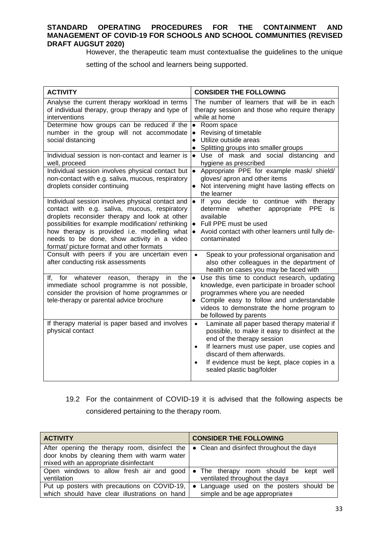However, the therapeutic team must contextualise the guidelines to the unique

setting of the school and learners being supported.

| <b>ACTIVITY</b>                                                                                                                                                                                                                                                                                                                                  | <b>CONSIDER THE FOLLOWING</b>                                                                                                                                                                                                                                                                                               |
|--------------------------------------------------------------------------------------------------------------------------------------------------------------------------------------------------------------------------------------------------------------------------------------------------------------------------------------------------|-----------------------------------------------------------------------------------------------------------------------------------------------------------------------------------------------------------------------------------------------------------------------------------------------------------------------------|
| Analyse the current therapy workload in terms<br>of individual therapy, group therapy and type of<br>interventions                                                                                                                                                                                                                               | The number of learners that will be in each<br>therapy session and those who require therapy<br>while at home                                                                                                                                                                                                               |
| Determine how groups can be reduced if the<br>number in the group will not accommodate<br>social distancing                                                                                                                                                                                                                                      | • Room space<br>Revising of timetable<br>$\bullet$<br>Utilize outside areas<br>Splitting groups into smaller groups<br>$\bullet$                                                                                                                                                                                            |
| Individual session is non-contact and learner is<br>well, proceed                                                                                                                                                                                                                                                                                | Use of mask and social distancing<br>$\bullet$<br>and<br>hygiene as prescribed                                                                                                                                                                                                                                              |
| Individual session involves physical contact but<br>non-contact with e.g. saliva, mucous, respiratory<br>droplets consider continuing                                                                                                                                                                                                            | Appropriate PPE for example mask/ shield/<br>$\bullet$<br>gloves/ apron and other items<br>Not intervening might have lasting effects on<br>the learner                                                                                                                                                                     |
| Individual session involves physical contact and<br>contact with e.g. saliva, mucous, respiratory<br>droplets reconsider therapy and look at other<br>possibilities for example modification/rethinking<br>how therapy is provided i.e. modelling what<br>needs to be done, show activity in a video<br>format/ picture format and other formats | If you decide to continue with therapy<br>$\bullet$<br>determine<br>whether appropriate<br><b>PPE</b><br>is<br>available<br>• Full PPE must be used<br>• Avoid contact with other learners until fully de-<br>contaminated                                                                                                  |
| Consult with peers if you are uncertain even<br>after conducting risk assessments                                                                                                                                                                                                                                                                | Speak to your professional organisation and<br>$\bullet$<br>also other colleagues in the department of<br>health on cases you may be faced with                                                                                                                                                                             |
| If, for whatever reason,<br>therapy<br>the<br>in<br>immediate school programme is not possible,<br>consider the provision of home programmes or<br>tele-therapy or parental advice brochure                                                                                                                                                      | Use this time to conduct research, updating<br>$\bullet$<br>knowledge, even participate in broader school<br>programmes where you are needed<br>Compile easy to follow and understandable<br>$\bullet$<br>videos to demonstrate the home program to<br>be followed by parents                                               |
| If therapy material is paper based and involves<br>physical contact                                                                                                                                                                                                                                                                              | Laminate all paper based therapy material if<br>$\bullet$<br>possible, to make it easy to disinfect at the<br>end of the therapy session<br>If learners must use paper, use copies and<br>$\bullet$<br>discard of them afterwards.<br>If evidence must be kept, place copies in a<br>$\bullet$<br>sealed plastic bag/folder |

19.2 For the containment of COVID-19 it is advised that the following aspects be considered pertaining to the therapy room.

| <b>ACTIVITY</b>                                                                                 | <b>CONSIDER THE FOLLOWING</b>                                                                                             |
|-------------------------------------------------------------------------------------------------|---------------------------------------------------------------------------------------------------------------------------|
| After opening the therapy room, disinfect the $\bullet$ Clean and disinfect throughout the day# |                                                                                                                           |
| door knobs by cleaning them with warm water<br>mixed with an appropriate disinfectant           |                                                                                                                           |
|                                                                                                 |                                                                                                                           |
| ventilation                                                                                     | Open windows to allow fresh air and good $\bullet$ The therapy room should be kept well<br>ventilated throughout the day# |
|                                                                                                 | Put up posters with precautions on COVID-19, $\bullet$ Language used on the posters should be                             |
| which should have clear illustrations on hand                                                   | simple and be age appropriate#                                                                                            |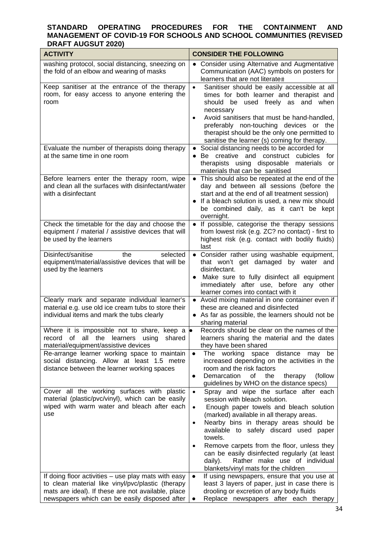| <b>ACTIVITY</b>                                                                                                                                          | <b>CONSIDER THE FOLLOWING</b>                                                                                                                                                                                                                                                                                                                                                                                   |
|----------------------------------------------------------------------------------------------------------------------------------------------------------|-----------------------------------------------------------------------------------------------------------------------------------------------------------------------------------------------------------------------------------------------------------------------------------------------------------------------------------------------------------------------------------------------------------------|
| washing protocol, social distancing, sneezing on<br>the fold of an elbow and wearing of masks                                                            | • Consider using Alternative and Augmentative<br>Communication (AAC) symbols on posters for<br>learners that are not literate#                                                                                                                                                                                                                                                                                  |
| Keep sanitiser at the entrance of the therapy<br>room, for easy access to anyone entering the<br>room                                                    | Sanitiser should be easily accessible at all<br>$\bullet$<br>times for both learner and therapist and<br>should be used freely as and when<br>necessary<br>Avoid sanitisers that must be hand-handled,<br>$\bullet$<br>preferably non-touching devices or the<br>therapist should be the only one permitted to<br>sanitise the learner (s) coming for therapy.                                                  |
| Evaluate the number of therapists doing therapy<br>at the same time in one room                                                                          | Social distancing needs to be accorded for<br>Be creative and construct cubicles for<br>therapists using disposable<br>materials<br>or<br>materials that can be sanitised                                                                                                                                                                                                                                       |
| Before learners enter the therapy room, wipe<br>and clean all the surfaces with disinfectant/water<br>with a disinfectant                                | • This should also be repeated at the end of the<br>day and between all sessions (before the<br>start and at the end of all treatment session)<br>• If a bleach solution is used, a new mix should<br>be combined daily, as it can't be kept<br>overnight.                                                                                                                                                      |
| Check the timetable for the day and choose the<br>equipment / material / assistive devices that will<br>be used by the learners                          | • If possible, categorise the therapy sessions<br>from lowest risk (e.g. ZC? no contact) - first to<br>highest risk (e.g. contact with bodily fluids)<br>last                                                                                                                                                                                                                                                   |
| Disinfect/sanitise<br>the<br>selected<br>equipment/material/assistive devices that will be<br>used by the learners                                       | Consider rather using washable equipment,<br>that won't get damaged by water and<br>disinfectant.<br>Make sure to fully disinfect all equipment<br>$\bullet$<br>immediately after use, before any other<br>learner comes into contact with it                                                                                                                                                                   |
| Clearly mark and separate individual learner's<br>material e.g. use old ice cream tubs to store their<br>individual items and mark the tubs clearly      | • Avoid mixing material in one container even if<br>these are cleaned and disinfected<br>• As far as possible, the learners should not be<br>sharing material                                                                                                                                                                                                                                                   |
| Where it is impossible not to share, keep a $\bullet$<br>of<br>record<br>all the learners<br>shared<br>using<br>material/equipment/assistive devices     | Records should be clear on the names of the<br>learners sharing the material and the dates<br>they have been shared                                                                                                                                                                                                                                                                                             |
| Re-arrange learner working space to maintain<br>social distancing. Allow at least 1.5 metre<br>distance between the learner working spaces               | The<br>working<br>space<br>distance<br>may<br>be<br>$\bullet$<br>increased depending on the activities in the<br>room and the risk factors<br>Demarcation<br>0f<br>the<br>therapy<br>(follow<br>guidelines by WHO on the distance specs)                                                                                                                                                                        |
| Cover all the working surfaces with plastic<br>material (plastic/pvc/vinyl), which can be easily<br>wiped with warm water and bleach after each<br>use   | Spray and wipe the surface after each<br>$\bullet$<br>session with bleach solution.<br>Enough paper towels and bleach solution<br>$\bullet$<br>(marked) available in all therapy areas.<br>Nearby bins in therapy areas should be<br>$\bullet$<br>available to safely discard used paper<br>towels.<br>Remove carpets from the floor, unless they<br>$\bullet$<br>can be easily disinfected regularly (at least |
| If doing floor activities - use play mats with easy                                                                                                      | Rather make use of individual<br>daily).<br>blankets/vinyl mats for the children<br>If using newspapers, ensure that you use at<br>$\bullet$                                                                                                                                                                                                                                                                    |
| to clean material like vinyl/pvc/plastic (therapy<br>mats are ideal). If these are not available, place<br>newspapers which can be easily disposed after | least 3 layers of paper, just in case there is<br>drooling or excretion of any body fluids<br>Replace newspapers after each therapy                                                                                                                                                                                                                                                                             |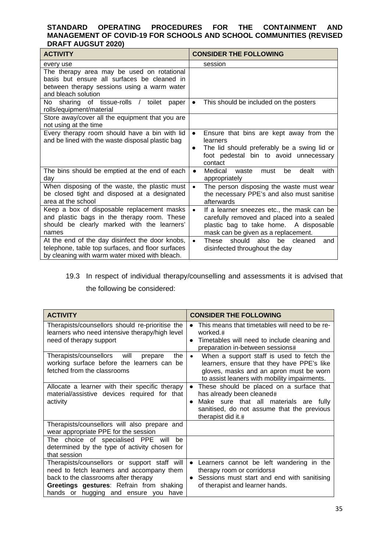| <b>ACTIVITY</b>                                                                                                                                                 | <b>CONSIDER THE FOLLOWING</b>                                                                                                                                                          |
|-----------------------------------------------------------------------------------------------------------------------------------------------------------------|----------------------------------------------------------------------------------------------------------------------------------------------------------------------------------------|
| every use                                                                                                                                                       | session                                                                                                                                                                                |
| The therapy area may be used on rotational<br>basis but ensure all surfaces be cleaned in<br>between therapy sessions using a warm water<br>and bleach solution |                                                                                                                                                                                        |
| sharing of tissue-rolls /<br>No l<br>toilet<br>paper<br>rolls/equipment/material                                                                                | This should be included on the posters<br>$\bullet$                                                                                                                                    |
| Store away/cover all the equipment that you are<br>not using at the time                                                                                        |                                                                                                                                                                                        |
| Every therapy room should have a bin with lid<br>and be lined with the waste disposal plastic bag                                                               | Ensure that bins are kept away from the<br>$\bullet$<br>learners<br>The lid should preferably be a swing lid or<br>$\bullet$<br>foot pedestal bin to avoid unnecessary<br>contact      |
| The bins should be emptied at the end of each<br>day                                                                                                            | Medical<br>dealt<br>with<br>waste<br>must<br>be<br>$\bullet$<br>appropriately                                                                                                          |
| When disposing of the waste, the plastic must<br>be closed tight and disposed at a designated<br>area at the school                                             | The person disposing the waste must wear<br>$\bullet$<br>the necessary PPE's and also must sanitise<br>afterwards                                                                      |
| Keep a box of disposable replacement masks<br>and plastic bags in the therapy room. These<br>should be clearly marked with the learners'<br>names               | If a learner sneezes etc., the mask can be<br>$\bullet$<br>carefully removed and placed into a sealed<br>plastic bag to take home. A disposable<br>mask can be given as a replacement. |
| At the end of the day disinfect the door knobs,<br>telephone, table top surfaces, and floor surfaces<br>by cleaning with warm water mixed with bleach.          | should<br>These<br>also<br>be<br>cleaned<br>$\bullet$<br>and<br>disinfected throughout the day                                                                                         |

### 19.3 In respect of individual therapy/counselling and assessments it is advised that the following be considered:

| <b>ACTIVITY</b>                                                                                                                                                                                                       | <b>CONSIDER THE FOLLOWING</b>                                                                                                                                                                                 |
|-----------------------------------------------------------------------------------------------------------------------------------------------------------------------------------------------------------------------|---------------------------------------------------------------------------------------------------------------------------------------------------------------------------------------------------------------|
| Therapists/counsellors should re-prioritise the<br>learners who need intensive therapy/high level<br>need of therapy support                                                                                          | This means that timetables will need to be re-<br>worked.#<br>Timetables will need to include cleaning and<br>$\bullet$<br>preparation in-between sessions#                                                   |
| Therapists/counsellors<br>will<br>the<br>prepare<br>working surface before the learners can be<br>fetched from the classrooms                                                                                         | When a support staff is used to fetch the<br>$\bullet$<br>learners, ensure that they have PPE's like<br>gloves, masks and an apron must be worn<br>to assist leaners with mobility impairments.               |
| Allocate a learner with their specific therapy<br>material/assistive devices required for that<br>activity                                                                                                            | These should be placed on a surface that<br>$\bullet$<br>has already been cleaned#<br>Make sure that all materials are fully<br>$\bullet$<br>sanitised, do not assume that the previous<br>therapist did it.# |
| Therapists/counsellors will also prepare and<br>wear appropriate PPE for the session                                                                                                                                  |                                                                                                                                                                                                               |
| The choice of specialised PPE will<br>be<br>determined by the type of activity chosen for<br>that session                                                                                                             |                                                                                                                                                                                                               |
| Therapists/counsellors or support staff will<br>need to fetch learners and accompany them<br>back to the classrooms after therapy<br>Greetings gestures: Refrain from shaking<br>hands or hugging and ensure you have | Learners cannot be left wandering in the<br>therapy room or corridors#<br>Sessions must start and end with sanitising<br>of therapist and learner hands.                                                      |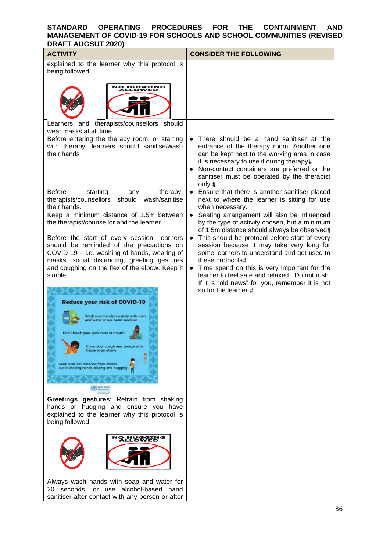| <b>ACTIVITY</b>                                                                                                                                                                                                                                                                                                                                                                                                                                                                                                                                                                                      | <b>CONSIDER THE FOLLOWING</b>                                                                                                                                                                                                                                                                                                                                        |
|------------------------------------------------------------------------------------------------------------------------------------------------------------------------------------------------------------------------------------------------------------------------------------------------------------------------------------------------------------------------------------------------------------------------------------------------------------------------------------------------------------------------------------------------------------------------------------------------------|----------------------------------------------------------------------------------------------------------------------------------------------------------------------------------------------------------------------------------------------------------------------------------------------------------------------------------------------------------------------|
| explained to the learner why this protocol is<br>being followed<br>O HUGGING<br>ALLOWED                                                                                                                                                                                                                                                                                                                                                                                                                                                                                                              |                                                                                                                                                                                                                                                                                                                                                                      |
| Learners and therapists/counsellors should<br>wear masks at all time                                                                                                                                                                                                                                                                                                                                                                                                                                                                                                                                 |                                                                                                                                                                                                                                                                                                                                                                      |
| Before entering the therapy room, or starting<br>with therapy, learners should sanitise/wash<br>their hands                                                                                                                                                                                                                                                                                                                                                                                                                                                                                          | There should be a hand sanitiser at the<br>entrance of the therapy room. Another one<br>can be kept next to the working area in case<br>it is necessary to use it during therapy#<br>Non-contact containers are preferred or the<br>sanitiser must be operated by the therapist<br>only.#                                                                            |
| <b>Before</b><br>starting<br>therapy,<br>any<br>therapists/counsellors<br>should wash/sanitise<br>their hands.                                                                                                                                                                                                                                                                                                                                                                                                                                                                                       | Ensure that there is another sanitiser placed<br>next to where the learner is sitting for use<br>when necessary.                                                                                                                                                                                                                                                     |
| Keep a minimum distance of 1.5m between<br>the therapist/counsellor and the learner                                                                                                                                                                                                                                                                                                                                                                                                                                                                                                                  | Seating arrangement will also be influenced<br>$\bullet$<br>by the type of activity chosen, but a minimum<br>of 1.5m distance should always be observed#                                                                                                                                                                                                             |
| Before the start of every session, learners<br>should be reminded of the precautions on<br>COVID-19 - i.e. washing of hands, wearing of<br>masks, social distancing, greeting gestures<br>and coughing on the flex of the elbow. Keep it<br>simple.<br><b>Reduce your risk of COVID-19</b><br>Vash your hands regularly with soap<br>id water or use hand sanitizer<br>Don't touch your eyes, nose or mouth<br>Cover your cough and sneeze with<br>tissue or an elbow<br>Keep over 1m distance from others -<br>avoid shaking hands. kissing and hugging<br>Greetings gestures: Refrain from shaking | This should be protocol before start of every<br>$\bullet$<br>session because it may take very long for<br>some learners to understand and get used to<br>these protocols#<br>Time spend on this is very important for the<br>$\bullet$<br>learner to feel safe and relaxed. Do not rush.<br>If it is "old news" for you, remember it is not<br>so for the learner.# |
| hands or hugging and ensure you have<br>explained to the learner why this protocol is<br>being followed<br><b>10 HUGGING</b><br>LOWED                                                                                                                                                                                                                                                                                                                                                                                                                                                                |                                                                                                                                                                                                                                                                                                                                                                      |
| Always wash hands with soap and water for<br>seconds, or use alcohol-based hand<br>20                                                                                                                                                                                                                                                                                                                                                                                                                                                                                                                |                                                                                                                                                                                                                                                                                                                                                                      |
| sanitiser after contact with any person or after                                                                                                                                                                                                                                                                                                                                                                                                                                                                                                                                                     |                                                                                                                                                                                                                                                                                                                                                                      |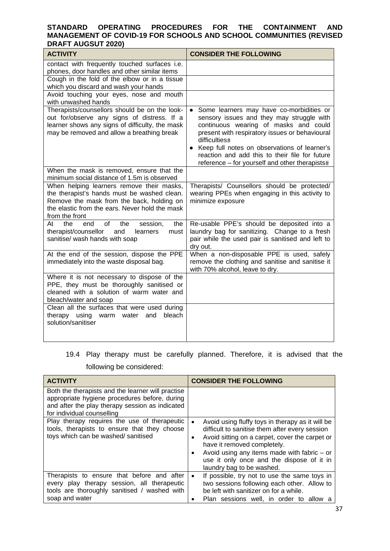| <b>ACTIVITY</b>                                                                                                                                                                                           | <b>CONSIDER THE FOLLOWING</b>                                                                                                                                                                                                                                                                                                                                                   |
|-----------------------------------------------------------------------------------------------------------------------------------------------------------------------------------------------------------|---------------------------------------------------------------------------------------------------------------------------------------------------------------------------------------------------------------------------------------------------------------------------------------------------------------------------------------------------------------------------------|
| contact with frequently touched surfaces i.e.<br>phones, door handles and other similar items                                                                                                             |                                                                                                                                                                                                                                                                                                                                                                                 |
| Cough in the fold of the elbow or in a tissue<br>which you discard and wash your hands                                                                                                                    |                                                                                                                                                                                                                                                                                                                                                                                 |
| Avoid touching your eyes, nose and mouth<br>with unwashed hands                                                                                                                                           |                                                                                                                                                                                                                                                                                                                                                                                 |
| Therapists/counsellors should be on the look-<br>out for/observe any signs of distress. If a<br>learner shows any signs of difficulty, the mask<br>may be removed and allow a breathing break             | Some learners may have co-morbidities or<br>$\bullet$<br>sensory issues and they may struggle with<br>continuous wearing of masks and could<br>present with respiratory issues or behavioural<br>difficulties#<br>Keep full notes on observations of learner's<br>$\bullet$<br>reaction and add this to their file for future<br>reference - for yourself and other therapists# |
| When the mask is removed, ensure that the<br>minimum social distance of 1.5m is observed                                                                                                                  |                                                                                                                                                                                                                                                                                                                                                                                 |
| When helping learners remove their masks,<br>the therapist's hands must be washed clean.<br>Remove the mask from the back, holding on<br>the elastic from the ears. Never hold the mask<br>from the front | Therapists/ Counsellors should be protected/<br>wearing PPEs when engaging in this activity to<br>minimize exposure                                                                                                                                                                                                                                                             |
| of<br>end<br>the<br>the<br>Atl<br>the<br>session,<br>therapist/counsellor<br>and<br>learners<br>must<br>sanitise/ wash hands with soap                                                                    | Re-usable PPE's should be deposited into a<br>laundry bag for sanitizing. Change to a fresh<br>pair while the used pair is sanitised and left to<br>dry out.                                                                                                                                                                                                                    |
| At the end of the session, dispose the PPE<br>immediately into the waste disposal bag.                                                                                                                    | When a non-disposable PPE is used, safely<br>remove the clothing and sanitise and sanitise it<br>with 70% alcohol, leave to dry.                                                                                                                                                                                                                                                |
| Where it is not necessary to dispose of the<br>PPE, they must be thoroughly sanitised or<br>cleaned with a solution of warm water and<br>bleach/water and soap                                            |                                                                                                                                                                                                                                                                                                                                                                                 |
| Clean all the surfaces that were used during<br>using warm water and<br>therapy<br>bleach<br>solution/sanitiser                                                                                           |                                                                                                                                                                                                                                                                                                                                                                                 |

### 19.4 Play therapy must be carefully planned. Therefore, it is advised that the following be considered:

| <b>ACTIVITY</b>                                                                                                                                                                     | <b>CONSIDER THE FOLLOWING</b>                                                                                                                                                                                                                                                                                                         |
|-------------------------------------------------------------------------------------------------------------------------------------------------------------------------------------|---------------------------------------------------------------------------------------------------------------------------------------------------------------------------------------------------------------------------------------------------------------------------------------------------------------------------------------|
| Both the therapists and the learner will practise<br>appropriate hygiene procedures before, during<br>and after the play therapy session as indicated<br>for individual counselling |                                                                                                                                                                                                                                                                                                                                       |
| Play therapy requires the use of therapeutic<br>tools, therapists to ensure that they choose<br>toys which can be washed/ sanitised                                                 | Avoid using fluffy toys in therapy as it will be<br>$\bullet$<br>difficult to sanitise them after every session<br>Avoid sitting on a carpet, cover the carpet or<br>٠<br>have it removed completely.<br>Avoid using any items made with fabric $-$ or<br>٠<br>use it only once and the dispose of it in<br>laundry bag to be washed. |
| Therapists to ensure that before and after<br>every play therapy session, all therapeutic<br>tools are thoroughly sanitised / washed with<br>soap and water                         | If possible, try not to use the same toys in<br>$\bullet$<br>two sessions following each other. Allow to<br>be left with sanitizer on for a while.<br>Plan sessions well, in order to allow a<br>٠                                                                                                                                    |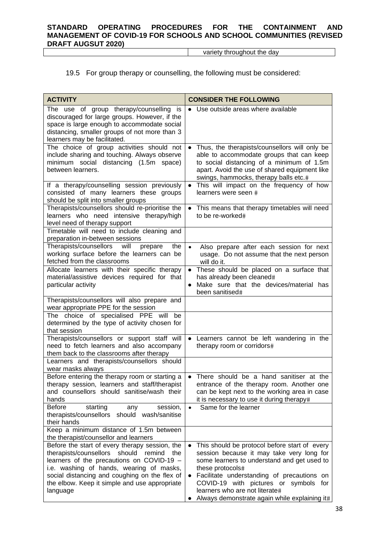variety throughout the day

### 19.5 For group therapy or counselling, the following must be considered:

| <b>ACTIVITY</b>                                                                                                                                                                                                                                                                                         | <b>CONSIDER THE FOLLOWING</b>                                                                                                                                                                                                                                                                                                                                     |
|---------------------------------------------------------------------------------------------------------------------------------------------------------------------------------------------------------------------------------------------------------------------------------------------------------|-------------------------------------------------------------------------------------------------------------------------------------------------------------------------------------------------------------------------------------------------------------------------------------------------------------------------------------------------------------------|
| The use of group therapy/counselling is<br>discouraged for large groups. However, if the<br>space is large enough to accommodate social<br>distancing, smaller groups of not more than 3<br>learners may be facilitated.                                                                                | • Use outside areas where available                                                                                                                                                                                                                                                                                                                               |
| The choice of group activities should not<br>include sharing and touching. Always observe<br>minimum social distancing (1.5m space)<br>between learners.                                                                                                                                                | Thus, the therapists/counsellors will only be<br>$\bullet$<br>able to accommodate groups that can keep<br>to social distancing of a minimum of 1.5m<br>apart. Avoid the use of shared equipment like<br>swings, hammocks, therapy balls etc.#                                                                                                                     |
| If a therapy/counselling session previously<br>consisted of many learners these groups<br>should be split into smaller groups                                                                                                                                                                           | This will impact on the frequency of how<br>$\bullet$<br>learners were seen #                                                                                                                                                                                                                                                                                     |
| Therapists/counsellors should re-prioritise the<br>learners who need intensive therapy/high<br>level need of therapy support                                                                                                                                                                            | This means that therapy timetables will need<br>to be re-worked#                                                                                                                                                                                                                                                                                                  |
| Timetable will need to include cleaning and<br>preparation in-between sessions                                                                                                                                                                                                                          |                                                                                                                                                                                                                                                                                                                                                                   |
| Therapists/counsellors<br>the<br>will<br>prepare<br>working surface before the learners can be<br>fetched from the classrooms                                                                                                                                                                           | Also prepare after each session for next<br>$\bullet$<br>usage. Do not assume that the next person<br>will do it.                                                                                                                                                                                                                                                 |
| Allocate learners with their specific therapy<br>material/assistive devices required for that<br>particular activity                                                                                                                                                                                    | These should be placed on a surface that<br>$\bullet$<br>has already been cleaned#<br>Make sure that the devices/material has<br>$\bullet$<br>been sanitised#                                                                                                                                                                                                     |
| Therapists/counsellors will also prepare and<br>wear appropriate PPE for the session                                                                                                                                                                                                                    |                                                                                                                                                                                                                                                                                                                                                                   |
| The choice of specialised PPE will<br>be<br>determined by the type of activity chosen for<br>that session                                                                                                                                                                                               |                                                                                                                                                                                                                                                                                                                                                                   |
| Therapists/counsellors or support staff will<br>need to fetch learners and also accompany<br>them back to the classrooms after therapy                                                                                                                                                                  | Learners cannot be left wandering in the<br>$\bullet$<br>therapy room or corridors#                                                                                                                                                                                                                                                                               |
| Learners and therapists/counsellors should<br>wear masks always                                                                                                                                                                                                                                         |                                                                                                                                                                                                                                                                                                                                                                   |
| Before entering the therapy room or starting a<br>therapy session, learners and staff/therapist<br>and counsellors should sanitise/wash their<br>hands                                                                                                                                                  | There should be a hand sanitiser at the<br>entrance of the therapy room. Another one<br>can be kept next to the working area in case<br>it is necessary to use it during therapy#                                                                                                                                                                                 |
| starting<br>Before<br>any<br>session,<br>therapists/counsellors<br>should wash/sanitise<br>their hands                                                                                                                                                                                                  | Same for the learner<br>$\bullet$                                                                                                                                                                                                                                                                                                                                 |
| Keep a minimum distance of 1.5m between<br>the therapist/counsellor and learners                                                                                                                                                                                                                        |                                                                                                                                                                                                                                                                                                                                                                   |
| Before the start of every therapy session, the<br>therapists/counsellors should<br>remind<br>the<br>learners of the precautions on COVID-19 -<br>i.e. washing of hands, wearing of masks,<br>social distancing and coughing on the flex of<br>the elbow. Keep it simple and use appropriate<br>language | This should be protocol before start of every<br>$\bullet$<br>session because it may take very long for<br>some learners to understand and get used to<br>these protocols#<br>Facilitate understanding of precautions on<br>$\bullet$<br>COVID-19 with pictures or symbols for<br>learners who are not literate#<br>Always demonstrate again while explaining it# |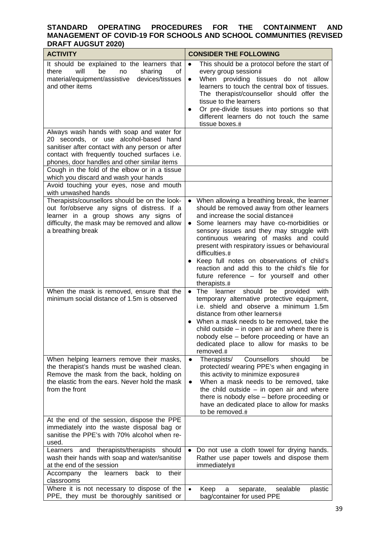| <b>ACTIVITY</b>                                                                                                                                                                                                                         | <b>CONSIDER THE FOLLOWING</b>                                                                                                                                                                                                                                                                                                                                                                                                                                                                                                 |  |  |
|-----------------------------------------------------------------------------------------------------------------------------------------------------------------------------------------------------------------------------------------|-------------------------------------------------------------------------------------------------------------------------------------------------------------------------------------------------------------------------------------------------------------------------------------------------------------------------------------------------------------------------------------------------------------------------------------------------------------------------------------------------------------------------------|--|--|
| It should be explained to the learners that<br>there<br>will<br>be<br>sharing<br>no<br>οf<br>material/equipment/assistive<br>devices/tissues<br>and other items                                                                         | This should be a protocol before the start of<br>$\bullet$<br>every group session#<br>When providing tissues do not allow<br>$\bullet$<br>learners to touch the central box of tissues.<br>The therapist/counsellor should offer the<br>tissue to the learners<br>Or pre-divide tissues into portions so that<br>different learners do not touch the same<br>tissue boxes.#                                                                                                                                                   |  |  |
| Always wash hands with soap and water for<br>20 seconds, or use alcohol-based hand<br>sanitiser after contact with any person or after<br>contact with frequently touched surfaces i.e.<br>phones, door handles and other similar items |                                                                                                                                                                                                                                                                                                                                                                                                                                                                                                                               |  |  |
| Cough in the fold of the elbow or in a tissue<br>which you discard and wash your hands<br>Avoid touching your eyes, nose and mouth                                                                                                      |                                                                                                                                                                                                                                                                                                                                                                                                                                                                                                                               |  |  |
| with unwashed hands                                                                                                                                                                                                                     |                                                                                                                                                                                                                                                                                                                                                                                                                                                                                                                               |  |  |
| Therapists/counsellors should be on the look-<br>out for/observe any signs of distress. If a<br>learner in a group shows any signs of<br>difficulty, the mask may be removed and allow<br>a breathing break                             | When allowing a breathing break, the learner<br>$\bullet$<br>should be removed away from other learners<br>and increase the social distance#<br>Some learners may have co-morbidities or<br>$\bullet$<br>sensory issues and they may struggle with<br>continuous wearing of masks and could<br>present with respiratory issues or behavioural<br>difficulties.#<br>• Keep full notes on observations of child's<br>reaction and add this to the child's file for<br>future reference - for yourself and other<br>therapists.# |  |  |
| When the mask is removed, ensure that the<br>minimum social distance of 1.5m is observed                                                                                                                                                | The learner<br>should<br>$\bullet$<br>be<br>provided with<br>temporary alternative protective equipment,<br>i.e. shield and observe a minimum 1.5m<br>distance from other learners#<br>When a mask needs to be removed, take the<br>child outside $-$ in open air and where there is<br>nobody else - before proceeding or have an<br>dedicated place to allow for masks to be<br>removed.#                                                                                                                                   |  |  |
| When helping learners remove their masks,<br>the therapist's hands must be washed clean.<br>Remove the mask from the back, holding on<br>the elastic from the ears. Never hold the mask<br>from the front                               | Counsellors<br>Therapists/<br>should<br>be<br>$\bullet$<br>protected/ wearing PPE's when engaging in<br>this activity to minimize exposure#<br>When a mask needs to be removed, take<br>$\bullet$<br>the child outside $-$ in open air and where<br>there is nobody else - before proceeding or<br>have an dedicated place to allow for masks<br>to be removed.#                                                                                                                                                              |  |  |
| At the end of the session, dispose the PPE<br>immediately into the waste disposal bag or<br>sanitise the PPE's with 70% alcohol when re-<br>used.                                                                                       |                                                                                                                                                                                                                                                                                                                                                                                                                                                                                                                               |  |  |
| Learners and therapists/therapists should<br>wash their hands with soap and water/sanitise<br>at the end of the session                                                                                                                 | Do not use a cloth towel for drying hands.<br>Rather use paper towels and dispose them<br>immediately#                                                                                                                                                                                                                                                                                                                                                                                                                        |  |  |
| their<br>back to<br>Accompany the learners<br>classrooms                                                                                                                                                                                |                                                                                                                                                                                                                                                                                                                                                                                                                                                                                                                               |  |  |
| Where it is not necessary to dispose of the<br>PPE, they must be thoroughly sanitised or                                                                                                                                                | Keep<br>sealable<br>plastic<br>separate,<br>a<br>bag/container for used PPE                                                                                                                                                                                                                                                                                                                                                                                                                                                   |  |  |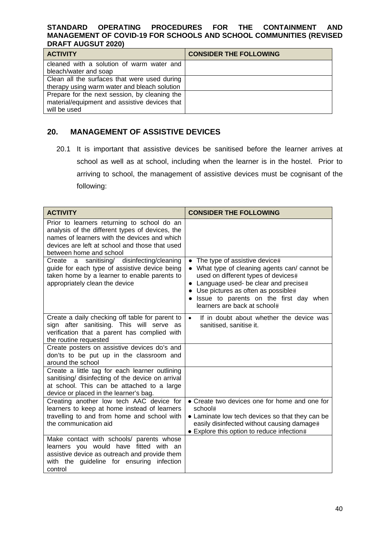| <b>ACTIVITY</b>                               | <b>CONSIDER THE FOLLOWING</b> |
|-----------------------------------------------|-------------------------------|
| cleaned with a solution of warm water and     |                               |
| bleach/water and soap                         |                               |
| Clean all the surfaces that were used during  |                               |
| therapy using warm water and bleach solution  |                               |
| Prepare for the next session, by cleaning the |                               |
| material/equipment and assistive devices that |                               |
| will be used                                  |                               |

### **20. MANAGEMENT OF ASSISTIVE DEVICES**

20.1 It is important that assistive devices be sanitised before the learner arrives at school as well as at school, including when the learner is in the hostel. Prior to arriving to school, the management of assistive devices must be cognisant of the following:

| <b>ACTIVITY</b>                                                                                                                                                                                                             | <b>CONSIDER THE FOLLOWING</b>                                                                                                                                                                                                                                                         |
|-----------------------------------------------------------------------------------------------------------------------------------------------------------------------------------------------------------------------------|---------------------------------------------------------------------------------------------------------------------------------------------------------------------------------------------------------------------------------------------------------------------------------------|
| Prior to learners returning to school do an<br>analysis of the different types of devices, the<br>names of learners with the devices and which<br>devices are left at school and those that used<br>between home and school |                                                                                                                                                                                                                                                                                       |
| a sanitising/ disinfecting/cleaning<br>Create<br>guide for each type of assistive device being<br>taken home by a learner to enable parents to<br>appropriately clean the device                                            | • The type of assistive device#<br>• What type of cleaning agents can/ cannot be<br>used on different types of devices#<br>• Language used- be clear and precise#<br>• Use pictures as often as possible#<br>· Issue to parents on the first day when<br>learners are back at school# |
| Create a daily checking off table for parent to<br>sign after sanitising. This will serve as<br>verification that a parent has complied with<br>the routine requested                                                       | If in doubt about whether the device was<br>$\bullet$<br>sanitised, sanitise it.                                                                                                                                                                                                      |
| Create posters on assistive devices do's and<br>don'ts to be put up in the classroom and<br>around the school                                                                                                               |                                                                                                                                                                                                                                                                                       |
| Create a little tag for each learner outlining<br>sanitising/ disinfecting of the device on arrival<br>at school. This can be attached to a large<br>device or placed in the learner's bag.                                 |                                                                                                                                                                                                                                                                                       |
| Creating another low tech AAC device for<br>learners to keep at home instead of learners<br>travelling to and from home and school with<br>the communication aid                                                            | • Create two devices one for home and one for<br>school#<br>• Laminate low tech devices so that they can be<br>easily disinfected without causing damage#<br>• Explore this option to reduce infection#                                                                               |
| Make contact with schools/ parents whose<br>learners you would have fitted with an<br>assistive device as outreach and provide them<br>with the guideline for ensuring infection<br>control                                 |                                                                                                                                                                                                                                                                                       |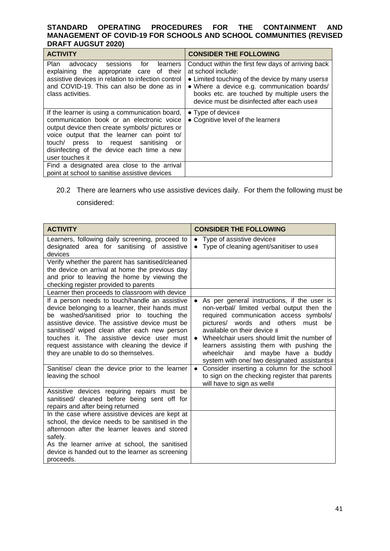| <b>ACTIVITY</b>                                                                                                                                                                                                                                                                                             | <b>CONSIDER THE FOLLOWING</b>                                                                                                                                                                                                                                            |  |
|-------------------------------------------------------------------------------------------------------------------------------------------------------------------------------------------------------------------------------------------------------------------------------------------------------------|--------------------------------------------------------------------------------------------------------------------------------------------------------------------------------------------------------------------------------------------------------------------------|--|
| Plan advocacy sessions for learners<br>explaining the appropriate care of their<br>assistive devices in relation to infection control<br>and COVID-19. This can also be done as in<br>class activities.                                                                                                     | Conduct within the first few days of arriving back<br>at school include:<br>• Limited touching of the device by many users#<br>• Where a device e.g. communication boards/<br>books etc. are touched by multiple users the<br>device must be disinfected after each use# |  |
| If the learner is using a communication board,<br>communication book or an electronic voice<br>output device then create symbols/ pictures or<br>voice output that the learner can point to/<br>touch/ press to request sanitising<br>or o<br>disinfecting of the device each time a new<br>user touches it | $\bullet$ Type of device#<br>• Cognitive level of the learner#                                                                                                                                                                                                           |  |
| Find a designated area close to the arrival<br>point at school to sanitise assistive devices                                                                                                                                                                                                                |                                                                                                                                                                                                                                                                          |  |

### 20.2 There are learners who use assistive devices daily. For them the following must be considered:

| <b>ACTIVITY</b>                                                                                                                                                                                                                                                                                                                                                                                                                            | <b>CONSIDER THE FOLLOWING</b>                                                                                                                                                                                                                                                                                                                                                              |
|--------------------------------------------------------------------------------------------------------------------------------------------------------------------------------------------------------------------------------------------------------------------------------------------------------------------------------------------------------------------------------------------------------------------------------------------|--------------------------------------------------------------------------------------------------------------------------------------------------------------------------------------------------------------------------------------------------------------------------------------------------------------------------------------------------------------------------------------------|
| Learners, following daily screening, proceed to<br>designated area for sanitising of assistive<br>devices                                                                                                                                                                                                                                                                                                                                  | • Type of assistive device#<br>Type of cleaning agent/sanitiser to use#<br>$\bullet$                                                                                                                                                                                                                                                                                                       |
| Verify whether the parent has sanitised/cleaned<br>the device on arrival at home the previous day<br>and prior to leaving the home by viewing the<br>checking register provided to parents                                                                                                                                                                                                                                                 |                                                                                                                                                                                                                                                                                                                                                                                            |
| Learner then proceeds to classroom with device<br>If a person needs to touch/handle an assistive<br>device belonging to a learner, their hands must<br>be washed/sanitised prior to touching the<br>assistive device. The assistive device must be<br>sanitised/ wiped clean after each new person<br>touches it. The assistive device user must<br>request assistance with cleaning the device if<br>they are unable to do so themselves. | As per general instructions, if the user is<br>non-verbal/ limited verbal output then the<br>required communication access symbols/<br>pictures/ words and others must be<br>available on their device #<br>Wheelchair users should limit the number of<br>learners assisting them with pushing the<br>wheelchair<br>and maybe have a buddy<br>system with one/ two designated assistants# |
| Sanitise/ clean the device prior to the learner<br>leaving the school                                                                                                                                                                                                                                                                                                                                                                      | Consider inserting a column for the school<br>to sign on the checking register that parents<br>will have to sign as well#                                                                                                                                                                                                                                                                  |
| Assistive devices requiring repairs must be<br>sanitised/ cleaned before being sent off for<br>repairs and after being returned                                                                                                                                                                                                                                                                                                            |                                                                                                                                                                                                                                                                                                                                                                                            |
| In the case where assistive devices are kept at<br>school, the device needs to be sanitised in the<br>afternoon after the learner leaves and stored<br>safely.<br>As the learner arrive at school, the sanitised<br>device is handed out to the learner as screening<br>proceeds.                                                                                                                                                          |                                                                                                                                                                                                                                                                                                                                                                                            |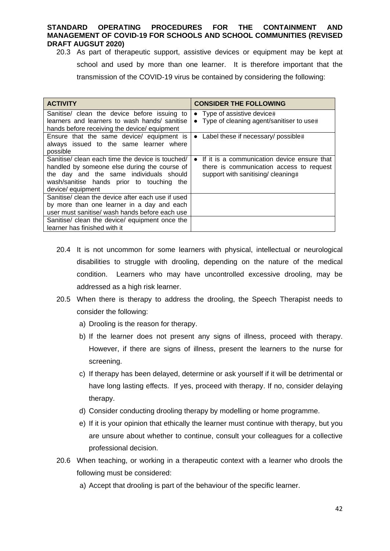20.3 As part of therapeutic support, assistive devices or equipment may be kept at school and used by more than one learner. It is therefore important that the transmission of the COVID-19 virus be contained by considering the following:

| <b>ACTIVITY</b>                                   | <b>CONSIDER THE FOLLOWING</b>               |
|---------------------------------------------------|---------------------------------------------|
| Sanitise/ clean the device before issuing to      | • Type of assistive device#                 |
| learners and learners to wash hands/ sanitise     | • Type of cleaning agent/sanitiser to use#  |
| hands before receiving the device/ equipment      |                                             |
| Ensure that the same device/ equipment is         | • Label these if necessary/ possible#       |
| always issued to the same learner where           |                                             |
| possible                                          |                                             |
| Sanitise/ clean each time the device is touched/  | If it is a communication device ensure that |
| handled by someone else during the course of      | there is communication access to request    |
| the day and the same individuals should           | support with sanitising/ cleaning#          |
| wash/sanitise hands prior to touching the         |                                             |
| device/equipment                                  |                                             |
| Sanitise/ clean the device after each use if used |                                             |
| by more than one learner in a day and each        |                                             |
| user must sanitise/ wash hands before each use    |                                             |
| Sanitise/ clean the device/ equipment once the    |                                             |
| learner has finished with it                      |                                             |

- 20.4 It is not uncommon for some learners with physical, intellectual or neurological disabilities to struggle with drooling, depending on the nature of the medical condition. Learners who may have uncontrolled excessive drooling, may be addressed as a high risk learner.
- 20.5 When there is therapy to address the drooling, the Speech Therapist needs to consider the following:
	- a) Drooling is the reason for therapy.
	- b) If the learner does not present any signs of illness, proceed with therapy. However, if there are signs of illness, present the learners to the nurse for screening.
	- c) If therapy has been delayed, determine or ask yourself if it will be detrimental or have long lasting effects. If yes, proceed with therapy. If no, consider delaying therapy.
	- d) Consider conducting drooling therapy by modelling or home programme.
	- e) If it is your opinion that ethically the learner must continue with therapy, but you are unsure about whether to continue, consult your colleagues for a collective professional decision.
- 20.6 When teaching, or working in a therapeutic context with a learner who drools the following must be considered:
	- a) Accept that drooling is part of the behaviour of the specific learner.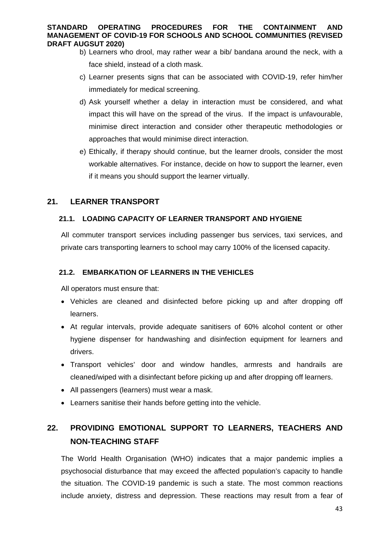- b) Learners who drool, may rather wear a bib/ bandana around the neck, with a face shield, instead of a cloth mask.
- c) Learner presents signs that can be associated with COVID-19, refer him/her immediately for medical screening.
- d) Ask yourself whether a delay in interaction must be considered, and what impact this will have on the spread of the virus. If the impact is unfavourable, minimise direct interaction and consider other therapeutic methodologies or approaches that would minimise direct interaction.
- e) Ethically, if therapy should continue, but the learner drools, consider the most workable alternatives. For instance, decide on how to support the learner, even if it means you should support the learner virtually.

### **21. LEARNER TRANSPORT**

### **21.1. LOADING CAPACITY OF LEARNER TRANSPORT AND HYGIENE**

All commuter transport services including passenger bus services, taxi services, and private cars transporting learners to school may carry 100% of the licensed capacity.

### **21.2. EMBARKATION OF LEARNERS IN THE VEHICLES**

All operators must ensure that:

- Vehicles are cleaned and disinfected before picking up and after dropping off learners.
- At regular intervals, provide adequate sanitisers of 60% alcohol content or other hygiene dispenser for handwashing and disinfection equipment for learners and drivers.
- Transport vehicles' door and window handles, armrests and handrails are cleaned/wiped with a disinfectant before picking up and after dropping off learners.
- All passengers (learners) must wear a mask.
- Learners sanitise their hands before getting into the vehicle.

### **22. PROVIDING EMOTIONAL SUPPORT TO LEARNERS, TEACHERS AND NON-TEACHING STAFF**

The World Health Organisation (WHO) indicates that a major pandemic implies a psychosocial disturbance that may exceed the affected population's capacity to handle the situation. The COVID-19 pandemic is such a state. The most common reactions include anxiety, distress and depression. These reactions may result from a fear of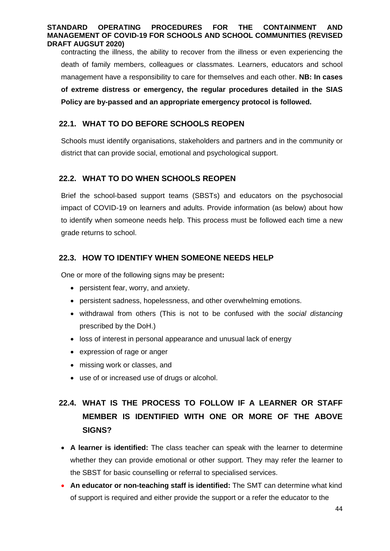contracting the illness, the ability to recover from the illness or even experiencing the death of family members, colleagues or classmates. Learners, educators and school management have a responsibility to care for themselves and each other. **NB: In cases of extreme distress or emergency, the regular procedures detailed in the SIAS Policy are by-passed and an appropriate emergency protocol is followed.** 

### **22.1. WHAT TO DO BEFORE SCHOOLS REOPEN**

Schools must identify organisations, stakeholders and partners and in the community or district that can provide social, emotional and psychological support.

### **22.2. WHAT TO DO WHEN SCHOOLS REOPEN**

Brief the school-based support teams (SBSTs) and educators on the psychosocial impact of COVID-19 on learners and adults. Provide information (as below) about how to identify when someone needs help. This process must be followed each time a new grade returns to school.

### **22.3. HOW TO IDENTIFY WHEN SOMEONE NEEDS HELP**

One or more of the following signs may be present**:** 

- persistent fear, worry, and anxiety.
- persistent sadness, hopelessness, and other overwhelming emotions.
- withdrawal from others (This is not to be confused with the *social distancing* prescribed by the DoH.)
- loss of interest in personal appearance and unusual lack of energy
- expression of rage or anger
- missing work or classes, and
- use of or increased use of drugs or alcohol.

## **22.4. WHAT IS THE PROCESS TO FOLLOW IF A LEARNER OR STAFF MEMBER IS IDENTIFIED WITH ONE OR MORE OF THE ABOVE SIGNS?**

- **A learner is identified:** The class teacher can speak with the learner to determine whether they can provide emotional or other support. They may refer the learner to the SBST for basic counselling or referral to specialised services.
- **An educator or non-teaching staff is identified:** The SMT can determine what kind of support is required and either provide the support or a refer the educator to the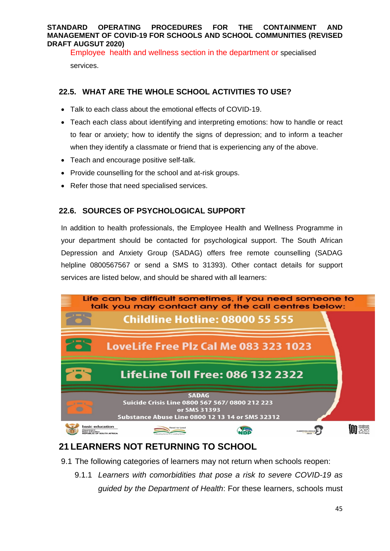Employee health and wellness section in the department or specialised services.

### **22.5. WHAT ARE THE WHOLE SCHOOL ACTIVITIES TO USE?**

- Talk to each class about the emotional effects of COVID-19.
- Teach each class about identifying and interpreting emotions: how to handle or react to fear or anxiety; how to identify the signs of depression; and to inform a teacher when they identify a classmate or friend that is experiencing any of the above.
- Teach and encourage positive self-talk.
- Provide counselling for the school and at-risk groups.
- Refer those that need specialised services.

### **22.6. SOURCES OF PSYCHOLOGICAL SUPPORT**

In addition to health professionals, the Employee Health and Wellness Programme in your department should be contacted for psychological support. The South African Depression and Anxiety Group (SADAG) offers free remote counselling (SADAG helpline 0800567567 or send a SMS to 31393). Other contact details for support services are listed below, and should be shared with all learners:



### **21 LEARNERS NOT RETURNING TO SCHOOL**

- 9.1 The following categories of learners may not return when schools reopen:
	- 9.1.1 *Learners with comorbidities that pose a risk to severe COVID-19 as guided by the Department of Health*: For these learners, schools must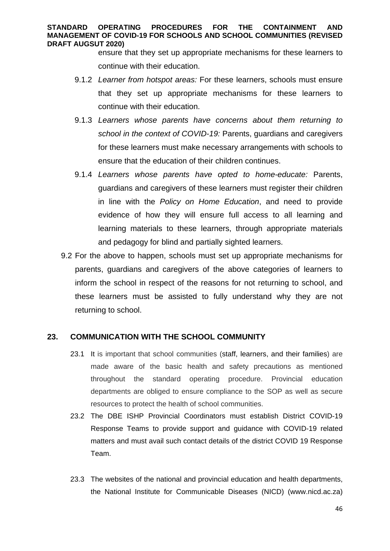ensure that they set up appropriate mechanisms for these learners to continue with their education.

- 9.1.2 *Learner from hotspot areas:* For these learners, schools must ensure that they set up appropriate mechanisms for these learners to continue with their education.
- 9.1.3 *Learners whose parents have concerns about them returning to school in the context of COVID-19:* Parents, guardians and caregivers for these learners must make necessary arrangements with schools to ensure that the education of their children continues.
- 9.1.4 *Learners whose parents have opted to home-educate:* Parents, guardians and caregivers of these learners must register their children in line with the *Policy on Home Education*, and need to provide evidence of how they will ensure full access to all learning and learning materials to these learners, through appropriate materials and pedagogy for blind and partially sighted learners.
- 9.2 For the above to happen, schools must set up appropriate mechanisms for parents, guardians and caregivers of the above categories of learners to inform the school in respect of the reasons for not returning to school, and these learners must be assisted to fully understand why they are not returning to school.

### **23. COMMUNICATION WITH THE SCHOOL COMMUNITY**

- 23.1 It is important that school communities (staff, learners, and their families) are made aware of the basic health and safety precautions as mentioned throughout the standard operating procedure. Provincial education departments are obliged to ensure compliance to the SOP as well as secure resources to protect the health of school communities.
- 23.2 The DBE ISHP Provincial Coordinators must establish District COVID-19 Response Teams to provide support and guidance with COVID-19 related matters and must avail such contact details of the district COVID 19 Response Team.
- 23.3 The websites of the national and provincial education and health departments, the National Institute for Communicable Diseases (NICD) (www.nicd.ac.za)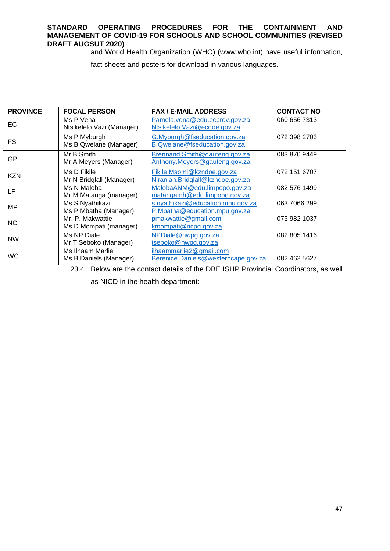and World Health Organization (WHO) (www.who.int) have useful information,

fact sheets and posters for download in various languages.

| <b>PROVINCE</b> | <b>FOCAL PERSON</b>                        | <b>FAX / E-MAIL ADDRESS</b>                                        | <b>CONTACT NO</b> |
|-----------------|--------------------------------------------|--------------------------------------------------------------------|-------------------|
| EC              | Ms P Vena<br>Ntsikelelo Vazi (Manager)     | Pamela.vena@edu.ecprov.gov.za<br>Ntsikelelo. Vazi@ecdoe.gov.za     | 060 656 7313      |
| <b>FS</b>       | Ms P Myburgh<br>Ms B Qwelane (Manager)     | G.Myburgh@fseducation.gov.za<br>B.Qwelane@fseducation.gov.za       | 072 398 2703      |
| GP              | Mr B Smith<br>Mr A Meyers (Manager)        | Brennand.Smith@gauteng.gov.za<br>Anthony.Meyers@gauteng.gov.za     | 083 870 9449      |
| <b>KZN</b>      | Ms D Fikile<br>Mr N Bridglall (Manager)    | Fikile.Msomi@kzndoe.gov.za<br>Niranjan.Bridglall@kzndoe.gov.za     | 072 151 6707      |
| LP              | Ms N Maloba<br>Mr M Matanga (manager)      | MalobaANM@edu.limpopo.gov.za<br>matangamh@edu.limpopo.gov.za       | 082 576 1499      |
| MP              | Ms S Nyathikazi<br>Ms P Mbatha (Manager)   | s.nyathikazi@education.mpu.gov.za<br>P.Mbatha@education.mpu.gov.za | 063 7066 299      |
| NC.             | Mr. P. Makwattie<br>Ms D Mompati (manager) | pmakwattie@gmail.com<br>kmompati@ncpg.gov.za                       | 073 982 1037      |
| <b>NW</b>       | Ms NP Diale<br>Mr T Seboko (Manager)       | NPDiale@nwpg.gov.za<br>tseboko@nwpg.gov.za                         | 082 805 1416      |
| <b>WC</b>       | Ms Ilhaam Marlie<br>Ms B Daniels (Manager) | ilhaammarlie2@gmail.com<br>Berenice.Daniels@westerncape.gov.za     | 082 462 5627      |

23.4 Below are the contact details of the DBE ISHP Provincial Coordinators, as well as NICD in the health department: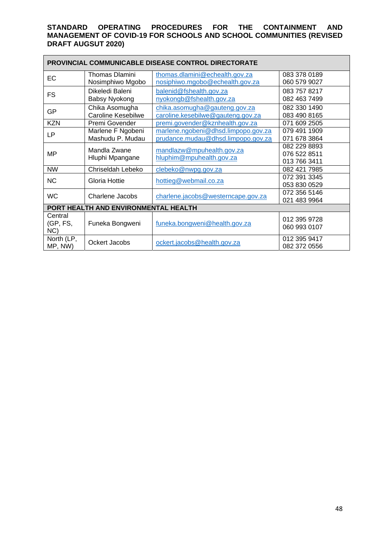| <b>PROVINCIAL COMMUNICABLE DISEASE CONTROL DIRECTORATE</b> |                           |                                     |              |  |
|------------------------------------------------------------|---------------------------|-------------------------------------|--------------|--|
| EC                                                         | Thomas Dlamini            | thomas.dlamini@echealth.gov.za      | 083 378 0189 |  |
|                                                            | Nosimphiwo Mgobo          | nosiphiwo.mgobo@echealth.gov.za     | 060 579 9027 |  |
| <b>FS</b>                                                  | Dikeledi Baleni           | balenid@fshealth.gov.za             | 083 757 8217 |  |
|                                                            | Babsy Nyokong             | nyokongb@fshealth.gov.za            | 082 463 7499 |  |
| GP                                                         | Chika Asomugha            | chika.asomugha@gauteng.gov.za       | 082 330 1490 |  |
|                                                            | <b>Caroline Kesebilwe</b> | caroline.kesebilwe@gauteng.gov.za   | 083 490 8165 |  |
| <b>KZN</b>                                                 | Premi Govender            | premi.govender@kznhealth.gov.za     | 071 609 2505 |  |
| <b>LP</b>                                                  | Marlene F Ngobeni         | marlene.ngobeni@dhsd.limpopo.gov.za | 079 491 1909 |  |
|                                                            | Mashudu P. Mudau          | prudance.mudau@dhsd.limpopo.gov.za  | 071 678 3864 |  |
|                                                            | Mandla Zwane              | mandlazw@mpuhealth.gov.za           | 082 229 8893 |  |
| <b>MP</b>                                                  | Hluphi Mpangane           | hluphim@mpuhealth.gov.za            | 076 522 8511 |  |
|                                                            |                           |                                     | 013 766 3411 |  |
| <b>NW</b>                                                  | Chriseldah Lebeko         | clebeko@nwpg.gov.za                 | 082 421 7985 |  |
| <b>NC</b>                                                  | Gloria Hottie             | hottieg@webmail.co.za               | 072 391 3345 |  |
|                                                            |                           |                                     | 053 830 0529 |  |
| <b>WC</b>                                                  | Charlene Jacobs           | charlene.jacobs@westerncape.gov.za  | 072 356 5146 |  |
|                                                            |                           |                                     | 021 483 9964 |  |
| PORT HEALTH AND ENVIRONMENTAL HEALTH                       |                           |                                     |              |  |
| Central                                                    |                           |                                     | 012 395 9728 |  |
| (GP, FS,                                                   | Funeka Bongweni           | funeka.bongweni@health.gov.za       | 060 993 0107 |  |
| NC                                                         |                           |                                     |              |  |
| North (LP,                                                 | Ockert Jacobs             | ockert.jacobs@health.gov.za         | 012 395 9417 |  |
| MP, NW)                                                    |                           |                                     | 082 372 0556 |  |